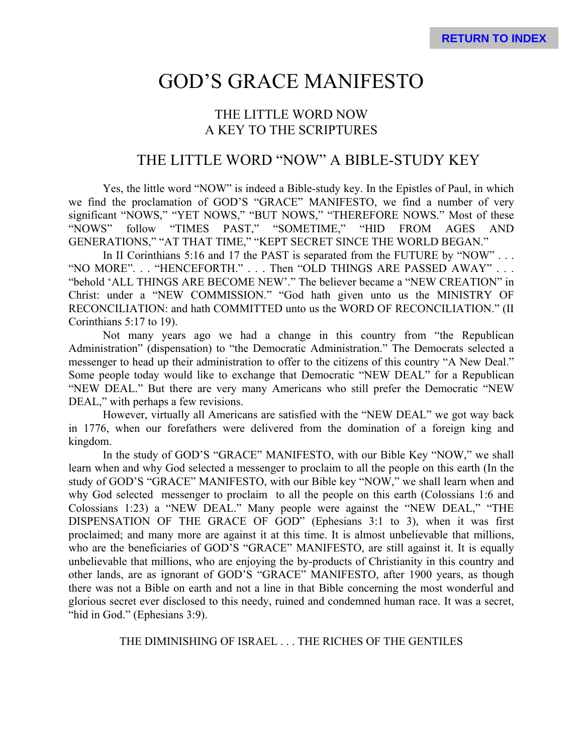# GOD'S GRACE MANIFESTO

# THE LITTLE WORD NOW A KEY TO THE SCRIPTURES

# THE LITTLE WORD "NOW" A BIBLE-STUDY KEY

Yes, the little word "NOW" is indeed a Bible-study key. In the Epistles of Paul, in which we find the proclamation of GOD'S "GRACE" MANIFESTO, we find a number of very significant "NOWS," "YET NOWS," "BUT NOWS," "THEREFORE NOWS." Most of these "NOWS" follow "TIMES PAST," "SOMETIME," "HID FROM AGES AND GENERATIONS," "AT THAT TIME," "KEPT SECRET SINCE THE WORLD BEGAN."

In II Corinthians 5:16 and 17 the PAST is separated from the FUTURE by "NOW" . . . "NO MORE"... "HENCEFORTH." ... Then "OLD THINGS ARE PASSED AWAY"... "behold 'ALL THINGS ARE BECOME NEW'." The believer became a "NEW CREATION" in Christ: under a "NEW COMMISSION." "God hath given unto us the MINISTRY OF RECONCILIATION: and hath COMMITTED unto us the WORD OF RECONCILIATION." (II Corinthians 5:17 to 19).

Not many years ago we had a change in this country from "the Republican Administration" (dispensation) to "the Democratic Administration." The Democrats selected a messenger to head up their administration to offer to the citizens of this country "A New Deal." Some people today would like to exchange that Democratic "NEW DEAL" for a Republican "NEW DEAL." But there are very many Americans who still prefer the Democratic "NEW DEAL," with perhaps a few revisions.

However, virtually all Americans are satisfied with the "NEW DEAL" we got way back in 1776, when our forefathers were delivered from the domination of a foreign king and kingdom.

In the study of GOD'S "GRACE" MANIFESTO, with our Bible Key "NOW," we shall learn when and why God selected a messenger to proclaim to all the people on this earth (In the study of GOD'S "GRACE" MANIFESTO, with our Bible key "NOW," we shall learn when and why God selected messenger to proclaim to all the people on this earth (Colossians 1:6 and Colossians 1:23) a "NEW DEAL." Many people were against the "NEW DEAL," "THE DISPENSATION OF THE GRACE OF GOD" (Ephesians 3:1 to 3), when it was first proclaimed; and many more are against it at this time. It is almost unbelievable that millions, who are the beneficiaries of GOD'S "GRACE" MANIFESTO, are still against it. It is equally unbelievable that millions, who are enjoying the by-products of Christianity in this country and other lands, are as ignorant of GOD'S "GRACE" MANIFESTO, after 1900 years, as though there was not a Bible on earth and not a line in that Bible concerning the most wonderful and glorious secret ever disclosed to this needy, ruined and condemned human race. It was a secret, "hid in God." (Ephesians 3:9).

THE DIMINISHING OF ISRAEL . . . THE RICHES OF THE GENTILES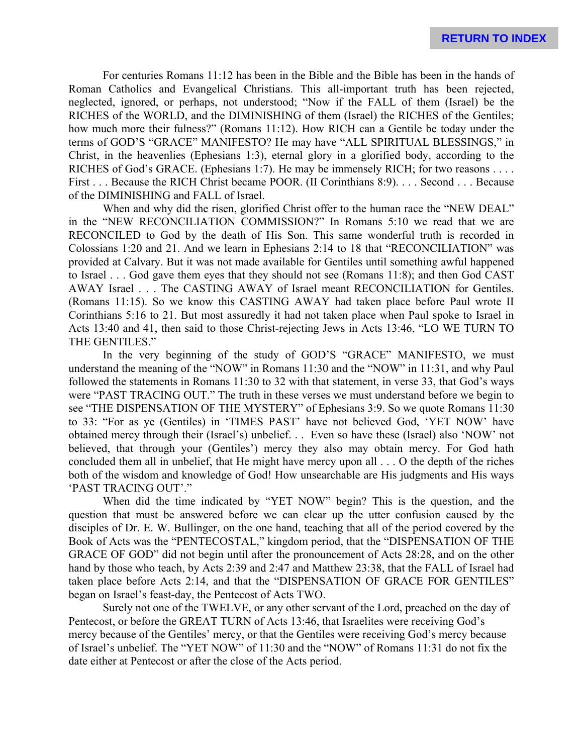For centuries Romans 11:12 has been in the Bible and the Bible has been in the hands of Roman Catholics and Evangelical Christians. This all-important truth has been rejected, neglected, ignored, or perhaps, not understood; "Now if the FALL of them (Israel) be the RICHES of the WORLD, and the DIMINISHING of them (Israel) the RICHES of the Gentiles; how much more their fulness?" (Romans 11:12). How RICH can a Gentile be today under the terms of GOD'S "GRACE" MANIFESTO? He may have "ALL SPIRITUAL BLESSINGS," in Christ, in the heavenlies (Ephesians 1:3), eternal glory in a glorified body, according to the RICHES of God's GRACE. (Ephesians 1:7). He may be immensely RICH; for two reasons . . . . First . . . Because the RICH Christ became POOR. (II Corinthians 8:9). . . . Second . . . Because of the DIMINISHING and FALL of Israel.

When and why did the risen, glorified Christ offer to the human race the "NEW DEAL" in the "NEW RECONCILIATION COMMISSION?" In Romans 5:10 we read that we are RECONCILED to God by the death of His Son. This same wonderful truth is recorded in Colossians 1:20 and 21. And we learn in Ephesians 2:14 to 18 that "RECONCILIATION" was provided at Calvary. But it was not made available for Gentiles until something awful happened to Israel . . . God gave them eyes that they should not see (Romans 11:8); and then God CAST AWAY Israel . . . The CASTING AWAY of Israel meant RECONCILIATION for Gentiles. (Romans 11:15). So we know this CASTING AWAY had taken place before Paul wrote II Corinthians 5:16 to 21. But most assuredly it had not taken place when Paul spoke to Israel in Acts 13:40 and 41, then said to those Christ-rejecting Jews in Acts 13:46, "LO WE TURN TO THE GENTILES."

In the very beginning of the study of GOD'S "GRACE" MANIFESTO, we must understand the meaning of the "NOW" in Romans 11:30 and the "NOW" in 11:31, and why Paul followed the statements in Romans 11:30 to 32 with that statement, in verse 33, that God's ways were "PAST TRACING OUT." The truth in these verses we must understand before we begin to see "THE DISPENSATION OF THE MYSTERY" of Ephesians 3:9. So we quote Romans 11:30 to 33: "For as ye (Gentiles) in 'TIMES PAST' have not believed God, 'YET NOW' have obtained mercy through their (Israel's) unbelief. . . Even so have these (Israel) also 'NOW' not believed, that through your (Gentiles') mercy they also may obtain mercy. For God hath concluded them all in unbelief, that He might have mercy upon all . . . O the depth of the riches both of the wisdom and knowledge of God! How unsearchable are His judgments and His ways 'PAST TRACING OUT'."

When did the time indicated by "YET NOW" begin? This is the question, and the question that must be answered before we can clear up the utter confusion caused by the disciples of Dr. E. W. Bullinger, on the one hand, teaching that all of the period covered by the Book of Acts was the "PENTECOSTAL," kingdom period, that the "DISPENSATION OF THE GRACE OF GOD" did not begin until after the pronouncement of Acts 28:28, and on the other hand by those who teach, by Acts 2:39 and 2:47 and Matthew 23:38, that the FALL of Israel had taken place before Acts 2:14, and that the "DISPENSATION OF GRACE FOR GENTILES" began on Israel's feast-day, the Pentecost of Acts TWO.

Surely not one of the TWELVE, or any other servant of the Lord, preached on the day of Pentecost, or before the GREAT TURN of Acts 13:46, that Israelites were receiving God's mercy because of the Gentiles' mercy, or that the Gentiles were receiving God's mercy because of Israel's unbelief. The "YET NOW" of 11:30 and the "NOW" of Romans 11:31 do not fix the date either at Pentecost or after the close of the Acts period.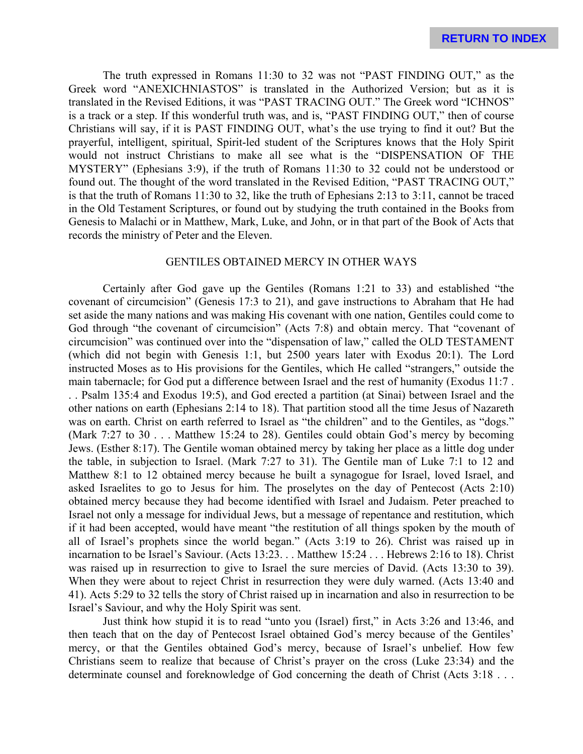The truth expressed in Romans 11:30 to 32 was not "PAST FINDING OUT," as the Greek word "ANEXICHNIASTOS" is translated in the Authorized Version; but as it is translated in the Revised Editions, it was "PAST TRACING OUT." The Greek word "ICHNOS" is a track or a step. If this wonderful truth was, and is, "PAST FINDING OUT," then of course Christians will say, if it is PAST FINDING OUT, what's the use trying to find it out? But the prayerful, intelligent, spiritual, Spirit-led student of the Scriptures knows that the Holy Spirit would not instruct Christians to make all see what is the "DISPENSATION OF THE MYSTERY" (Ephesians 3:9), if the truth of Romans 11:30 to 32 could not be understood or found out. The thought of the word translated in the Revised Edition, "PAST TRACING OUT," is that the truth of Romans 11:30 to 32, like the truth of Ephesians 2:13 to 3:11, cannot be traced in the Old Testament Scriptures, or found out by studying the truth contained in the Books from Genesis to Malachi or in Matthew, Mark, Luke, and John, or in that part of the Book of Acts that records the ministry of Peter and the Eleven.

# GENTILES OBTAINED MERCY IN OTHER WAYS

Certainly after God gave up the Gentiles (Romans 1:21 to 33) and established "the covenant of circumcision" (Genesis 17:3 to 21), and gave instructions to Abraham that He had set aside the many nations and was making His covenant with one nation, Gentiles could come to God through "the covenant of circumcision" (Acts 7:8) and obtain mercy. That "covenant of circumcision" was continued over into the "dispensation of law," called the OLD TESTAMENT (which did not begin with Genesis 1:1, but 2500 years later with Exodus 20:1). The Lord instructed Moses as to His provisions for the Gentiles, which He called "strangers," outside the main tabernacle; for God put a difference between Israel and the rest of humanity (Exodus 11:7 . . . Psalm 135:4 and Exodus 19:5), and God erected a partition (at Sinai) between Israel and the other nations on earth (Ephesians 2:14 to 18). That partition stood all the time Jesus of Nazareth was on earth. Christ on earth referred to Israel as "the children" and to the Gentiles, as "dogs." (Mark 7:27 to 30 . . . Matthew 15:24 to 28). Gentiles could obtain God's mercy by becoming Jews. (Esther 8:17). The Gentile woman obtained mercy by taking her place as a little dog under the table, in subjection to Israel. (Mark 7:27 to 31). The Gentile man of Luke 7:1 to 12 and Matthew 8:1 to 12 obtained mercy because he built a synagogue for Israel, loved Israel, and asked Israelites to go to Jesus for him. The proselytes on the day of Pentecost (Acts 2:10) obtained mercy because they had become identified with Israel and Judaism. Peter preached to Israel not only a message for individual Jews, but a message of repentance and restitution, which if it had been accepted, would have meant "the restitution of all things spoken by the mouth of all of Israel's prophets since the world began." (Acts 3:19 to 26). Christ was raised up in incarnation to be Israel's Saviour. (Acts 13:23. . . Matthew 15:24 . . . Hebrews 2:16 to 18). Christ was raised up in resurrection to give to Israel the sure mercies of David. (Acts 13:30 to 39). When they were about to reject Christ in resurrection they were duly warned. (Acts 13:40 and 41). Acts 5:29 to 32 tells the story of Christ raised up in incarnation and also in resurrection to be Israel's Saviour, and why the Holy Spirit was sent.

Just think how stupid it is to read "unto you (Israel) first," in Acts 3:26 and 13:46, and then teach that on the day of Pentecost Israel obtained God's mercy because of the Gentiles' mercy, or that the Gentiles obtained God's mercy, because of Israel's unbelief. How few Christians seem to realize that because of Christ's prayer on the cross (Luke 23:34) and the determinate counsel and foreknowledge of God concerning the death of Christ (Acts 3:18 . . .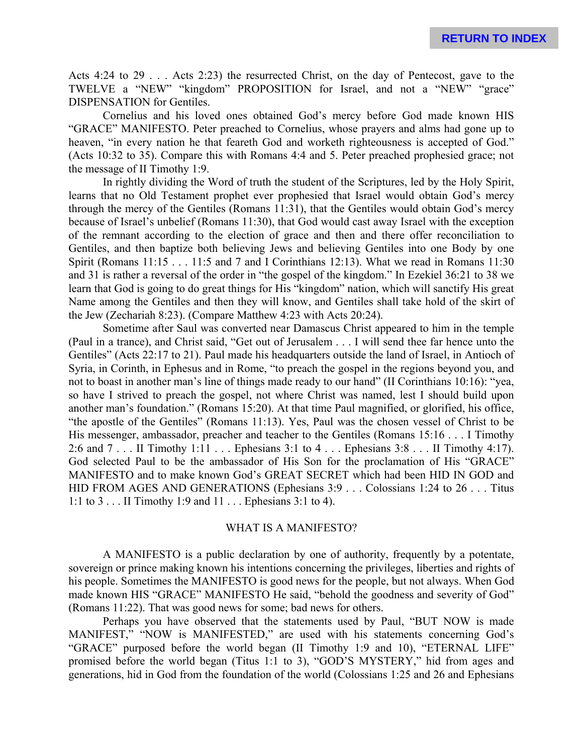Acts 4:24 to 29 . . . Acts 2:23) the resurrected Christ, on the day of Pentecost, gave to the TWELVE a "NEW" "kingdom" PROPOSITION for Israel, and not a "NEW" "grace" DISPENSATION for Gentiles.

Cornelius and his loved ones obtained God's mercy before God made known HIS "GRACE" MANIFESTO. Peter preached to Cornelius, whose prayers and alms had gone up to heaven, "in every nation he that feareth God and worketh righteousness is accepted of God." (Acts 10:32 to 35). Compare this with Romans 4:4 and 5. Peter preached prophesied grace; not the message of II Timothy 1:9.

In rightly dividing the Word of truth the student of the Scriptures, led by the Holy Spirit, learns that no Old Testament prophet ever prophesied that Israel would obtain God's mercy through the mercy of the Gentiles (Romans 11:31), that the Gentiles would obtain God's mercy because of Israel's unbelief (Romans 11:30), that God would cast away Israel with the exception of the remnant according to the election of grace and then and there offer reconciliation to Gentiles, and then baptize both believing Jews and believing Gentiles into one Body by one Spirit (Romans 11:15 . . . 11:5 and 7 and I Corinthians 12:13). What we read in Romans 11:30 and 31 is rather a reversal of the order in "the gospel of the kingdom." In Ezekiel 36:21 to 38 we learn that God is going to do great things for His "kingdom" nation, which will sanctify His great Name among the Gentiles and then they will know, and Gentiles shall take hold of the skirt of the Jew (Zechariah 8:23). (Compare Matthew 4:23 with Acts 20:24).

Sometime after Saul was converted near Damascus Christ appeared to him in the temple (Paul in a trance), and Christ said, "Get out of Jerusalem . . . I will send thee far hence unto the Gentiles" (Acts 22:17 to 21). Paul made his headquarters outside the land of Israel, in Antioch of Syria, in Corinth, in Ephesus and in Rome, "to preach the gospel in the regions beyond you, and not to boast in another man's line of things made ready to our hand" (II Corinthians 10:16): "yea, so have I strived to preach the gospel, not where Christ was named, lest I should build upon another man's foundation." (Romans 15:20). At that time Paul magnified, or glorified, his office, "the apostle of the Gentiles" (Romans 11:13). Yes, Paul was the chosen vessel of Christ to be His messenger, ambassador, preacher and teacher to the Gentiles (Romans 15:16 . . . I Timothy 2:6 and 7 . . . II Timothy 1:11 . . . Ephesians 3:1 to 4 . . . Ephesians 3:8 . . . II Timothy 4:17). God selected Paul to be the ambassador of His Son for the proclamation of His "GRACE" MANIFESTO and to make known God's GREAT SECRET which had been HID IN GOD and HID FROM AGES AND GENERATIONS (Ephesians 3:9 . . . Colossians 1:24 to 26 . . . Titus 1:1 to 3 . . . II Timothy 1:9 and 11 . . . Ephesians 3:1 to 4).

#### WHAT IS A MANIFESTO?

A MANIFESTO is a public declaration by one of authority, frequently by a potentate, sovereign or prince making known his intentions concerning the privileges, liberties and rights of his people. Sometimes the MANIFESTO is good news for the people, but not always. When God made known HIS "GRACE" MANIFESTO He said, "behold the goodness and severity of God" (Romans 11:22). That was good news for some; bad news for others.

Perhaps you have observed that the statements used by Paul, "BUT NOW is made MANIFEST," "NOW is MANIFESTED," are used with his statements concerning God's "GRACE" purposed before the world began (II Timothy 1:9 and 10), "ETERNAL LIFE" promised before the world began (Titus 1:1 to 3), "GOD'S MYSTERY," hid from ages and generations, hid in God from the foundation of the world (Colossians 1:25 and 26 and Ephesians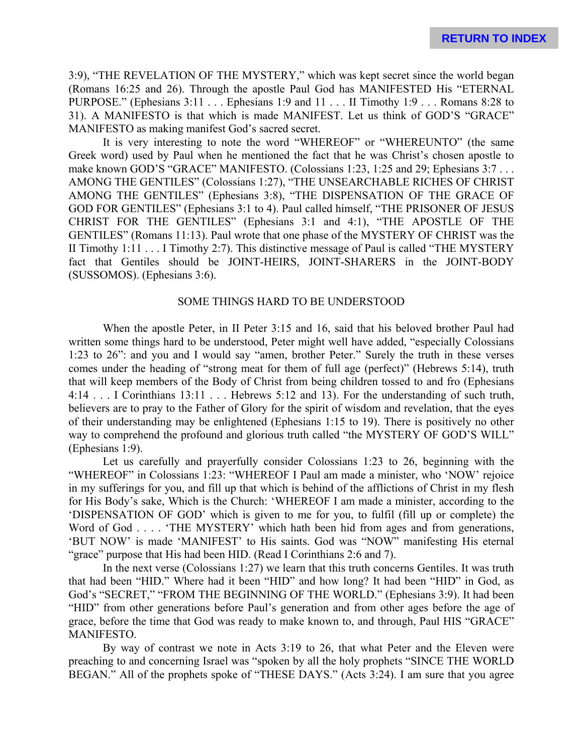3:9), "THE REVELATION OF THE MYSTERY," which was kept secret since the world began (Romans 16:25 and 26). Through the apostle Paul God has MANIFESTED His "ETERNAL PURPOSE." (Ephesians 3:11 . . . Ephesians 1:9 and 11 . . . II Timothy 1:9 . . . Romans 8:28 to 31). A MANIFESTO is that which is made MANIFEST. Let us think of GOD'S "GRACE" MANIFESTO as making manifest God's sacred secret.

It is very interesting to note the word "WHEREOF" or "WHEREUNTO" (the same Greek word) used by Paul when he mentioned the fact that he was Christ's chosen apostle to make known GOD'S "GRACE" MANIFESTO. (Colossians 1:23, 1:25 and 29; Ephesians 3:7 . . . AMONG THE GENTILES" (Colossians 1:27), "THE UNSEARCHABLE RICHES OF CHRIST AMONG THE GENTILES" (Ephesians 3:8), "THE DISPENSATION OF THE GRACE OF GOD FOR GENTILES" (Ephesians 3:1 to 4). Paul called himself, "THE PRISONER OF JESUS CHRIST FOR THE GENTILES" (Ephesians 3:1 and 4:1), "THE APOSTLE OF THE GENTILES" (Romans 11:13). Paul wrote that one phase of the MYSTERY OF CHRIST was the II Timothy 1:11 . . . I Timothy 2:7). This distinctive message of Paul is called "THE MYSTERY fact that Gentiles should be JOINT-HEIRS, JOINT-SHARERS in the JOINT-BODY (SUSSOMOS). (Ephesians 3:6).

#### SOME THINGS HARD TO BE UNDERSTOOD

When the apostle Peter, in II Peter 3:15 and 16, said that his beloved brother Paul had written some things hard to be understood, Peter might well have added, "especially Colossians 1:23 to 26": and you and I would say "amen, brother Peter." Surely the truth in these verses comes under the heading of "strong meat for them of full age (perfect)" (Hebrews 5:14), truth that will keep members of the Body of Christ from being children tossed to and fro (Ephesians 4:14 . . . I Corinthians 13:11 . . . Hebrews 5:12 and 13). For the understanding of such truth, believers are to pray to the Father of Glory for the spirit of wisdom and revelation, that the eyes of their understanding may be enlightened (Ephesians 1:15 to 19). There is positively no other way to comprehend the profound and glorious truth called "the MYSTERY OF GOD'S WILL" (Ephesians 1:9).

Let us carefully and prayerfully consider Colossians 1:23 to 26, beginning with the "WHEREOF" in Colossians 1:23: "WHEREOF I Paul am made a minister, who 'NOW' rejoice in my sufferings for you, and fill up that which is behind of the afflictions of Christ in my flesh for His Body's sake, Which is the Church: 'WHEREOF I am made a minister, according to the 'DISPENSATION OF GOD' which is given to me for you, to fulfil (fill up or complete) the Word of God . . . . 'THE MYSTERY' which hath been hid from ages and from generations, 'BUT NOW' is made 'MANIFEST' to His saints. God was "NOW" manifesting His eternal "grace" purpose that His had been HID. (Read I Corinthians 2:6 and 7).

In the next verse (Colossians 1:27) we learn that this truth concerns Gentiles. It was truth that had been "HID." Where had it been "HID" and how long? It had been "HID" in God, as God's "SECRET," "FROM THE BEGINNING OF THE WORLD." (Ephesians 3:9). It had been "HID" from other generations before Paul's generation and from other ages before the age of grace, before the time that God was ready to make known to, and through, Paul HIS "GRACE" MANIFESTO.

By way of contrast we note in Acts 3:19 to 26, that what Peter and the Eleven were preaching to and concerning Israel was "spoken by all the holy prophets "SINCE THE WORLD BEGAN." All of the prophets spoke of "THESE DAYS." (Acts 3:24). I am sure that you agree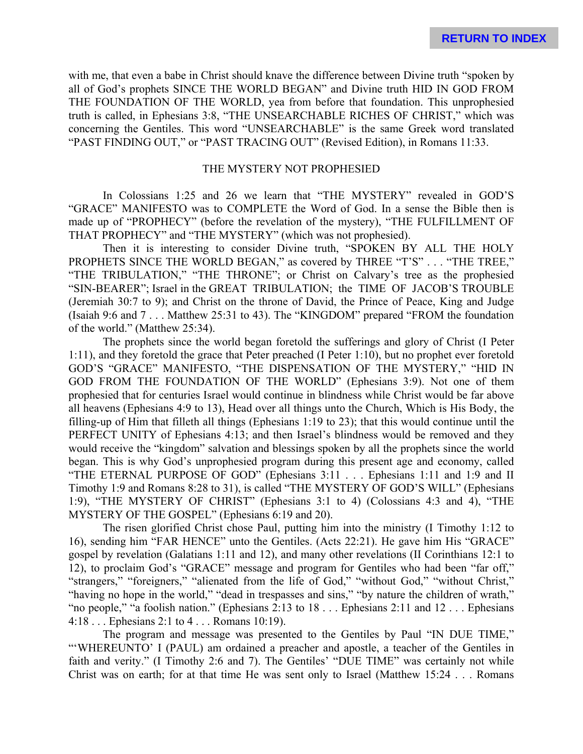with me, that even a babe in Christ should knave the difference between Divine truth "spoken by all of God's prophets SINCE THE WORLD BEGAN" and Divine truth HID IN GOD FROM THE FOUNDATION OF THE WORLD, yea from before that foundation. This unprophesied truth is called, in Ephesians 3:8, "THE UNSEARCHABLE RICHES OF CHRIST," which was concerning the Gentiles. This word "UNSEARCHABLE" is the same Greek word translated "PAST FINDING OUT," or "PAST TRACING OUT" (Revised Edition), in Romans 11:33.

#### THE MYSTERY NOT PROPHESIED

In Colossians 1:25 and 26 we learn that "THE MYSTERY" revealed in GOD'S "GRACE" MANIFESTO was to COMPLETE the Word of God. In a sense the Bible then is made up of "PROPHECY" (before the revelation of the mystery), "THE FULFILLMENT OF THAT PROPHECY" and "THE MYSTERY" (which was not prophesied).

Then it is interesting to consider Divine truth, "SPOKEN BY ALL THE HOLY PROPHETS SINCE THE WORLD BEGAN," as covered by THREE "T'S" . . . "THE TREE," "THE TRIBULATION," "THE THRONE"; or Christ on Calvary's tree as the prophesied "SIN-BEARER"; Israel in the GREAT TRIBULATION; the TIME OF JACOB'S TROUBLE (Jeremiah 30:7 to 9); and Christ on the throne of David, the Prince of Peace, King and Judge (Isaiah 9:6 and 7 . . . Matthew 25:31 to 43). The "KINGDOM" prepared "FROM the foundation of the world." (Matthew 25:34).

The prophets since the world began foretold the sufferings and glory of Christ (I Peter 1:11), and they foretold the grace that Peter preached (I Peter 1:10), but no prophet ever foretold GOD'S "GRACE" MANIFESTO, "THE DISPENSATION OF THE MYSTERY," "HID IN GOD FROM THE FOUNDATION OF THE WORLD" (Ephesians 3:9). Not one of them prophesied that for centuries Israel would continue in blindness while Christ would be far above all heavens (Ephesians 4:9 to 13), Head over all things unto the Church, Which is His Body, the filling-up of Him that filleth all things (Ephesians 1:19 to 23); that this would continue until the PERFECT UNITY of Ephesians 4:13; and then Israel's blindness would be removed and they would receive the "kingdom" salvation and blessings spoken by all the prophets since the world began. This is why God's unprophesied program during this present age and economy, called "THE ETERNAL PURPOSE OF GOD" (Ephesians 3:11 . . . Ephesians 1:11 and 1:9 and II Timothy 1:9 and Romans 8:28 to 31), is called "THE MYSTERY OF GOD'S WILL" (Ephesians 1:9), "THE MYSTERY OF CHRIST" (Ephesians 3:1 to 4) (Colossians 4:3 and 4), "THE MYSTERY OF THE GOSPEL" (Ephesians 6:19 and 20).

The risen glorified Christ chose Paul, putting him into the ministry (I Timothy 1:12 to 16), sending him "FAR HENCE" unto the Gentiles. (Acts 22:21). He gave him His "GRACE" gospel by revelation (Galatians 1:11 and 12), and many other revelations (II Corinthians 12:1 to 12), to proclaim God's "GRACE" message and program for Gentiles who had been "far off," "strangers," "foreigners," "alienated from the life of God," "without God," "without Christ," "having no hope in the world," "dead in trespasses and sins," "by nature the children of wrath," "no people," "a foolish nation." (Ephesians 2:13 to 18 . . . Ephesians 2:11 and 12 . . . Ephesians 4:18 . . . Ephesians 2:1 to 4 . . . Romans 10:19).

The program and message was presented to the Gentiles by Paul "IN DUE TIME," "'WHEREUNTO' I (PAUL) am ordained a preacher and apostle, a teacher of the Gentiles in faith and verity." (I Timothy 2:6 and 7). The Gentiles' "DUE TIME" was certainly not while Christ was on earth; for at that time He was sent only to Israel (Matthew 15:24 . . . Romans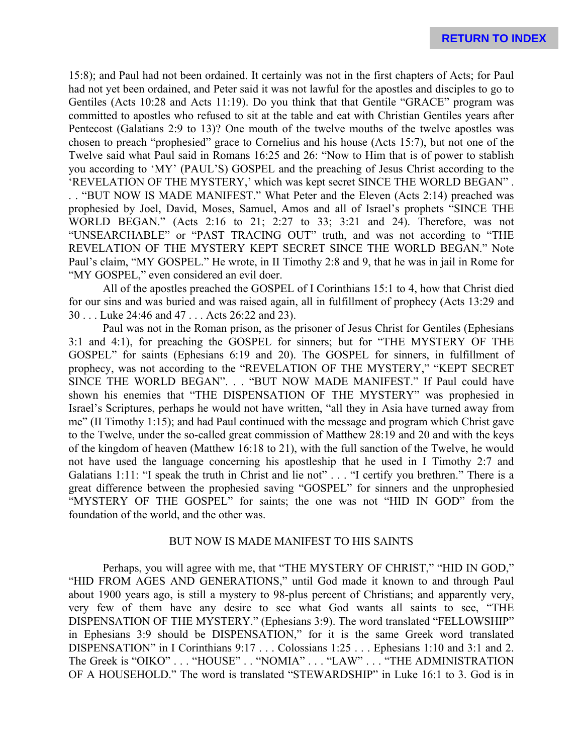15:8); and Paul had not been ordained. It certainly was not in the first chapters of Acts; for Paul had not yet been ordained, and Peter said it was not lawful for the apostles and disciples to go to Gentiles (Acts 10:28 and Acts 11:19). Do you think that that Gentile "GRACE" program was committed to apostles who refused to sit at the table and eat with Christian Gentiles years after Pentecost (Galatians 2:9 to 13)? One mouth of the twelve mouths of the twelve apostles was chosen to preach "prophesied" grace to Cornelius and his house (Acts 15:7), but not one of the Twelve said what Paul said in Romans 16:25 and 26: "Now to Him that is of power to stablish you according to 'MY' (PAUL'S) GOSPEL and the preaching of Jesus Christ according to the 'REVELATION OF THE MYSTERY,' which was kept secret SINCE THE WORLD BEGAN" . . . "BUT NOW IS MADE MANIFEST." What Peter and the Eleven (Acts 2:14) preached was prophesied by Joel, David, Moses, Samuel, Amos and all of Israel's prophets "SINCE THE WORLD BEGAN." (Acts 2:16 to 21; 2:27 to 33; 3:21 and 24). Therefore, was not

"UNSEARCHABLE" or "PAST TRACING OUT" truth, and was not according to "THE REVELATION OF THE MYSTERY KEPT SECRET SINCE THE WORLD BEGAN." Note Paul's claim, "MY GOSPEL." He wrote, in II Timothy 2:8 and 9, that he was in jail in Rome for "MY GOSPEL," even considered an evil doer.

All of the apostles preached the GOSPEL of I Corinthians 15:1 to 4, how that Christ died for our sins and was buried and was raised again, all in fulfillment of prophecy (Acts 13:29 and 30 . . . Luke 24:46 and 47 . . . Acts 26:22 and 23).

Paul was not in the Roman prison, as the prisoner of Jesus Christ for Gentiles (Ephesians 3:1 and 4:1), for preaching the GOSPEL for sinners; but for "THE MYSTERY OF THE GOSPEL" for saints (Ephesians 6:19 and 20). The GOSPEL for sinners, in fulfillment of prophecy, was not according to the "REVELATION OF THE MYSTERY," "KEPT SECRET SINCE THE WORLD BEGAN". . . "BUT NOW MADE MANIFEST." If Paul could have shown his enemies that "THE DISPENSATION OF THE MYSTERY" was prophesied in Israel's Scriptures, perhaps he would not have written, "all they in Asia have turned away from me" (II Timothy 1:15); and had Paul continued with the message and program which Christ gave to the Twelve, under the so-called great commission of Matthew 28:19 and 20 and with the keys of the kingdom of heaven (Matthew 16:18 to 21), with the full sanction of the Twelve, he would not have used the language concerning his apostleship that he used in I Timothy 2:7 and Galatians 1:11: "I speak the truth in Christ and lie not" . . . "I certify you brethren." There is a great difference between the prophesied saving "GOSPEL" for sinners and the unprophesied "MYSTERY OF THE GOSPEL" for saints; the one was not "HID IN GOD" from the foundation of the world, and the other was.

# BUT NOW IS MADE MANIFEST TO HIS SAINTS

Perhaps, you will agree with me, that "THE MYSTERY OF CHRIST," "HID IN GOD," "HID FROM AGES AND GENERATIONS," until God made it known to and through Paul about 1900 years ago, is still a mystery to 98-plus percent of Christians; and apparently very, very few of them have any desire to see what God wants all saints to see, "THE DISPENSATION OF THE MYSTERY." (Ephesians 3:9). The word translated "FELLOWSHIP" in Ephesians 3:9 should be DISPENSATION," for it is the same Greek word translated DISPENSATION" in I Corinthians 9:17 . . . Colossians 1:25 . . . Ephesians 1:10 and 3:1 and 2. The Greek is "OIKO" . . . "HOUSE" . . "NOMIA" . . . "LAW" . . . "THE ADMINISTRATION OF A HOUSEHOLD." The word is translated "STEWARDSHIP" in Luke 16:1 to 3. God is in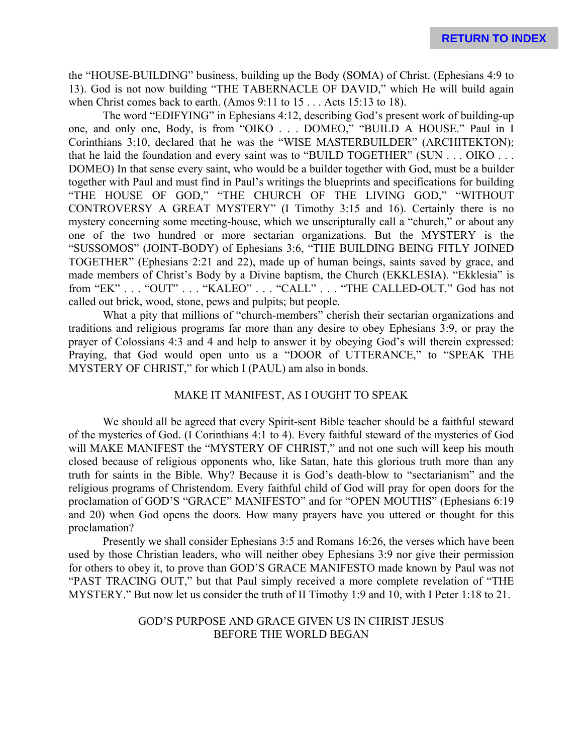the "HOUSE-BUILDING" business, building up the Body (SOMA) of Christ. (Ephesians 4:9 to 13). God is not now building "THE TABERNACLE OF DAVID," which He will build again when Christ comes back to earth. (Amos 9:11 to 15 . . . Acts 15:13 to 18).

The word "EDIFYING" in Ephesians 4:12, describing God's present work of building-up one, and only one, Body, is from "OIKO . . . DOMEO," "BUILD A HOUSE." Paul in I Corinthians 3:10, declared that he was the "WISE MASTERBUILDER" (ARCHITEKTON); that he laid the foundation and every saint was to "BUILD TOGETHER" (SUN . . . OIKO . . . DOMEO) In that sense every saint, who would be a builder together with God, must be a builder together with Paul and must find in Paul's writings the blueprints and specifications for building "THE HOUSE OF GOD," "THE CHURCH OF THE LIVING GOD," "WITHOUT CONTROVERSY A GREAT MYSTERY" (I Timothy 3:15 and 16). Certainly there is no mystery concerning some meeting-house, which we unscripturally call a "church," or about any one of the two hundred or more sectarian organizations. But the MYSTERY is the "SUSSOMOS" (JOINT-BODY) of Ephesians 3:6, "THE BUILDING BEING FITLY JOINED TOGETHER" (Ephesians 2:21 and 22), made up of human beings, saints saved by grace, and made members of Christ's Body by a Divine baptism, the Church (EKKLESIA). "Ekklesia" is from "EK" . . . "OUT" . . . "KALEO" . . . "CALL" . . . "THE CALLED-OUT." God has not called out brick, wood, stone, pews and pulpits; but people.

What a pity that millions of "church-members" cherish their sectarian organizations and traditions and religious programs far more than any desire to obey Ephesians 3:9, or pray the prayer of Colossians 4:3 and 4 and help to answer it by obeying God's will therein expressed: Praying, that God would open unto us a "DOOR of UTTERANCE," to "SPEAK THE MYSTERY OF CHRIST," for which I (PAUL) am also in bonds.

#### MAKE IT MANIFEST, AS I OUGHT TO SPEAK

We should all be agreed that every Spirit-sent Bible teacher should be a faithful steward of the mysteries of God. (I Corinthians 4:1 to 4). Every faithful steward of the mysteries of God will MAKE MANIFEST the "MYSTERY OF CHRIST," and not one such will keep his mouth closed because of religious opponents who, like Satan, hate this glorious truth more than any truth for saints in the Bible. Why? Because it is God's death-blow to "sectarianism" and the religious programs of Christendom. Every faithful child of God will pray for open doors for the proclamation of GOD'S "GRACE" MANIFESTO" and for "OPEN MOUTHS" (Ephesians 6:19 and 20) when God opens the doors. How many prayers have you uttered or thought for this proclamation?

Presently we shall consider Ephesians 3:5 and Romans 16:26, the verses which have been used by those Christian leaders, who will neither obey Ephesians 3:9 nor give their permission for others to obey it, to prove than GOD'S GRACE MANIFESTO made known by Paul was not "PAST TRACING OUT," but that Paul simply received a more complete revelation of "THE MYSTERY." But now let us consider the truth of II Timothy 1:9 and 10, with I Peter 1:18 to 21.

# GOD'S PURPOSE AND GRACE GIVEN US IN CHRIST JESUS BEFORE THE WORLD BEGAN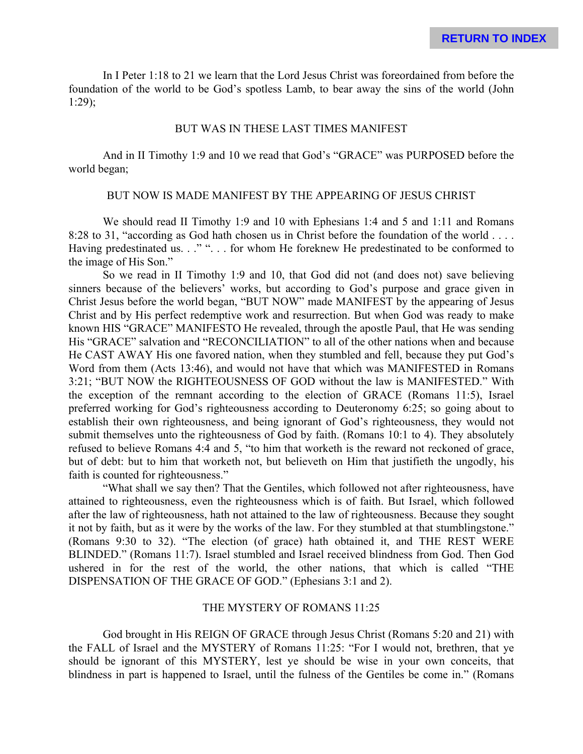In I Peter 1:18 to 21 we learn that the Lord Jesus Christ was foreordained from before the foundation of the world to be God's spotless Lamb, to bear away the sins of the world (John 1:29);

#### BUT WAS IN THESE LAST TIMES MANIFEST

And in II Timothy 1:9 and 10 we read that God's "GRACE" was PURPOSED before the world began;

# BUT NOW IS MADE MANIFEST BY THE APPEARING OF JESUS CHRIST

We should read II Timothy 1:9 and 10 with Ephesians 1:4 and 5 and 1:11 and Romans 8:28 to 31, "according as God hath chosen us in Christ before the foundation of the world . . . . Having predestinated us. . ." ". . . for whom He foreknew He predestinated to be conformed to the image of His Son."

So we read in II Timothy 1:9 and 10, that God did not (and does not) save believing sinners because of the believers' works, but according to God's purpose and grace given in Christ Jesus before the world began, "BUT NOW" made MANIFEST by the appearing of Jesus Christ and by His perfect redemptive work and resurrection. But when God was ready to make known HIS "GRACE" MANIFESTO He revealed, through the apostle Paul, that He was sending His "GRACE" salvation and "RECONCILIATION" to all of the other nations when and because He CAST AWAY His one favored nation, when they stumbled and fell, because they put God's Word from them (Acts 13:46), and would not have that which was MANIFESTED in Romans 3:21; "BUT NOW the RIGHTEOUSNESS OF GOD without the law is MANIFESTED." With the exception of the remnant according to the election of GRACE (Romans 11:5), Israel preferred working for God's righteousness according to Deuteronomy 6:25; so going about to establish their own righteousness, and being ignorant of God's righteousness, they would not submit themselves unto the righteousness of God by faith. (Romans 10:1 to 4). They absolutely refused to believe Romans 4:4 and 5, "to him that worketh is the reward not reckoned of grace, but of debt: but to him that worketh not, but believeth on Him that justifieth the ungodly, his faith is counted for righteousness."

"What shall we say then? That the Gentiles, which followed not after righteousness, have attained to righteousness, even the righteousness which is of faith. But Israel, which followed after the law of righteousness, hath not attained to the law of righteousness. Because they sought it not by faith, but as it were by the works of the law. For they stumbled at that stumblingstone." (Romans 9:30 to 32). "The election (of grace) hath obtained it, and THE REST WERE BLINDED." (Romans 11:7). Israel stumbled and Israel received blindness from God. Then God ushered in for the rest of the world, the other nations, that which is called "THE DISPENSATION OF THE GRACE OF GOD." (Ephesians 3:1 and 2).

# THE MYSTERY OF ROMANS 11:25

God brought in His REIGN OF GRACE through Jesus Christ (Romans 5:20 and 21) with the FALL of Israel and the MYSTERY of Romans 11:25: "For I would not, brethren, that ye should be ignorant of this MYSTERY, lest ye should be wise in your own conceits, that blindness in part is happened to Israel, until the fulness of the Gentiles be come in." (Romans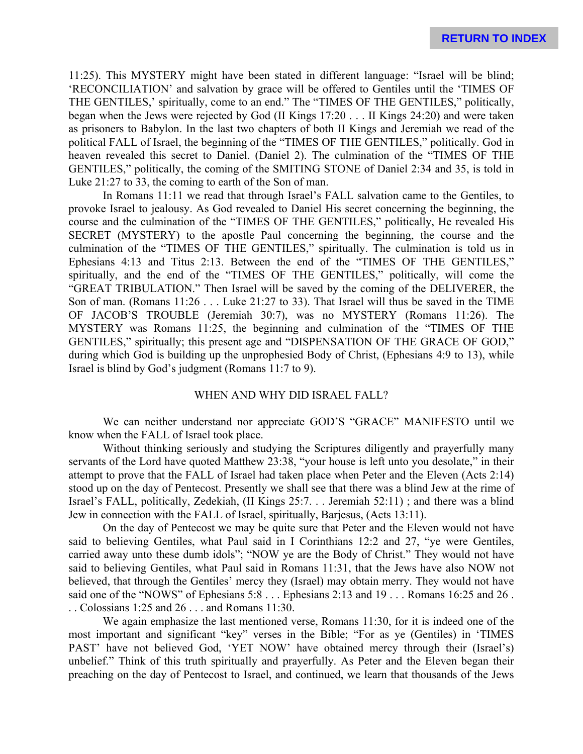11:25). This MYSTERY might have been stated in different language: "Israel will be blind; 'RECONCILIATION' and salvation by grace will be offered to Gentiles until the 'TIMES OF THE GENTILES,' spiritually, come to an end." The "TIMES OF THE GENTILES," politically, began when the Jews were rejected by God (II Kings 17:20 . . . II Kings 24:20) and were taken as prisoners to Babylon. In the last two chapters of both II Kings and Jeremiah we read of the political FALL of Israel, the beginning of the "TIMES OF THE GENTILES," politically. God in heaven revealed this secret to Daniel. (Daniel 2). The culmination of the "TIMES OF THE GENTILES," politically, the coming of the SMITING STONE of Daniel 2:34 and 35, is told in Luke 21:27 to 33, the coming to earth of the Son of man.

In Romans 11:11 we read that through Israel's FALL salvation came to the Gentiles, to provoke Israel to jealousy. As God revealed to Daniel His secret concerning the beginning, the course and the culmination of the "TIMES OF THE GENTILES," politically, He revealed His SECRET (MYSTERY) to the apostle Paul concerning the beginning, the course and the culmination of the "TIMES OF THE GENTILES," spiritually. The culmination is told us in Ephesians 4:13 and Titus 2:13. Between the end of the "TIMES OF THE GENTILES," spiritually, and the end of the "TIMES OF THE GENTILES," politically, will come the "GREAT TRIBULATION." Then Israel will be saved by the coming of the DELIVERER, the Son of man. (Romans 11:26 . . . Luke 21:27 to 33). That Israel will thus be saved in the TIME OF JACOB'S TROUBLE (Jeremiah 30:7), was no MYSTERY (Romans 11:26). The MYSTERY was Romans 11:25, the beginning and culmination of the "TIMES OF THE GENTILES," spiritually; this present age and "DISPENSATION OF THE GRACE OF GOD," during which God is building up the unprophesied Body of Christ, (Ephesians 4:9 to 13), while Israel is blind by God's judgment (Romans 11:7 to 9).

# WHEN AND WHY DID ISRAEL FALL?

We can neither understand nor appreciate GOD'S "GRACE" MANIFESTO until we know when the FALL of Israel took place.

Without thinking seriously and studying the Scriptures diligently and prayerfully many servants of the Lord have quoted Matthew 23:38, "your house is left unto you desolate," in their attempt to prove that the FALL of Israel had taken place when Peter and the Eleven (Acts 2:14) stood up on the day of Pentecost. Presently we shall see that there was a blind Jew at the rime of Israel's FALL, politically, Zedekiah, (II Kings 25:7. . . Jeremiah 52:11) ; and there was a blind Jew in connection with the FALL of Israel, spiritually, Barjesus, (Acts 13:11).

On the day of Pentecost we may be quite sure that Peter and the Eleven would not have said to believing Gentiles, what Paul said in I Corinthians 12:2 and 27, "ye were Gentiles, carried away unto these dumb idols"; "NOW ye are the Body of Christ." They would not have said to believing Gentiles, what Paul said in Romans 11:31, that the Jews have also NOW not believed, that through the Gentiles' mercy they (Israel) may obtain merry. They would not have said one of the "NOWS" of Ephesians 5:8 . . . Ephesians 2:13 and 19 . . . Romans 16:25 and 26 . . . Colossians 1:25 and 26 . . . and Romans 11:30.

We again emphasize the last mentioned verse, Romans 11:30, for it is indeed one of the most important and significant "key" verses in the Bible; "For as ye (Gentiles) in 'TIMES PAST' have not believed God, 'YET NOW' have obtained mercy through their (Israel's) unbelief." Think of this truth spiritually and prayerfully. As Peter and the Eleven began their preaching on the day of Pentecost to Israel, and continued, we learn that thousands of the Jews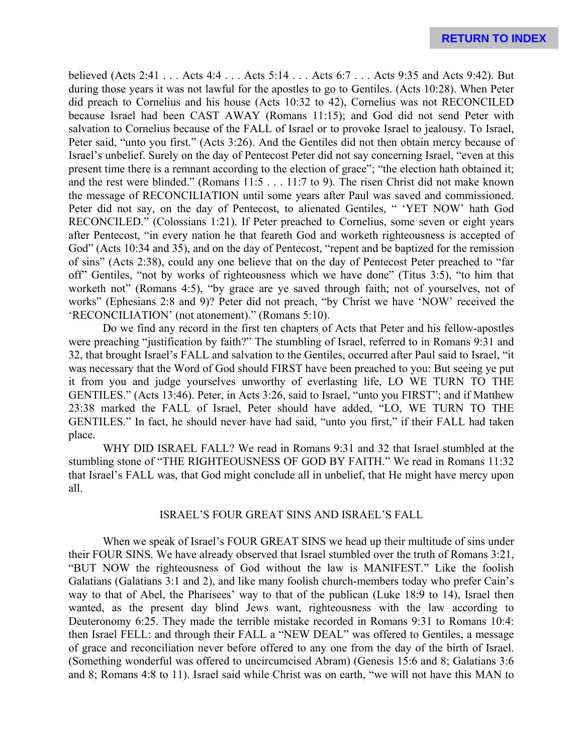believed (Acts 2:41 . . . Acts 4:4 . . . Acts 5:14 . . . Acts 6:7 . . . Acts 9:35 and Acts 9:42). But during those years it was not lawful for the apostles to go to Gentiles. (Acts 10:28). When Peter did preach to Cornelius and his house (Acts 10:32 to 42), Cornelius was not RECONCILED because Israel had been CAST AWAY (Romans 11:15); and God did not send Peter with salvation to Cornelius because of the FALL of Israel or to provoke Israel to jealousy. To Israel, Peter said, "unto you first." (Acts 3:26). And the Gentiles did not then obtain mercy because of Israel's unbelief. Surely on the day of Pentecost Peter did not say concerning Israel, "even at this present time there is a remnant according to the election of grace"; "the election hath obtained it; and the rest were blinded." (Romans 11:5 . . . 11:7 to 9). The risen Christ did not make known the message of RECONCILIATION until some years after Paul was saved and commissioned. Peter did not say, on the day of Pentecost, to alienated Gentiles, " 'YET NOW' hath God RECONCILED." (Colossians 1:21). If Peter preached to Cornelius, some seven or eight years after Pentecost, "in every nation he that feareth God and worketh righteousness is accepted of God" (Acts 10:34 and 35), and on the day of Pentecost, "repent and be baptized for the remission of sins" (Acts 2:38), could any one believe that on the day of Pentecost Peter preached to "far off" Gentiles, "not by works of righteousness which we have done" (Titus 3:5), "to him that worketh not" (Romans 4:5), "by grace are ye saved through faith; not of yourselves, not of works" (Ephesians 2:8 and 9)? Peter did not preach, "by Christ we have 'NOW' received the 'RECONCILIATION' (not atonement)." (Romans 5:10).

Do we find any record in the first ten chapters of Acts that Peter and his fellow-apostles were preaching "justification by faith?" The stumbling of Israel, referred to in Romans 9:31 and 32, that brought Israel's FALL and salvation to the Gentiles, occurred after Paul said to Israel, "it was necessary that the Word of God should FIRST have been preached to you: But seeing ye put it from you and judge yourselves unworthy of everlasting life, LO WE TURN TO THE GENTILES." (Acts 13:46). Peter, in Acts 3:26, said to Israel, "unto you FIRST"; and if Matthew 23:38 marked the FALL of Israel, Peter should have added, "LO, WE TURN TO THE GENTILES." In fact, he should never have had said, "unto you first," if their FALL had taken place.

WHY DID ISRAEL FALL? We read in Romans 9:31 and 32 that Israel stumbled at the stumbling stone of "THE RIGHTEOUSNESS OF GOD BY FAITH." We read in Romans 11:32 that Israel's FALL was, that God might conclude all in unbelief, that He might have mercy upon all.

#### ISRAEL'S FOUR GREAT SINS AND ISRAEL'S FALL

When we speak of Israel's FOUR GREAT SINS we head up their multitude of sins under their FOUR SINS. We have already observed that Israel stumbled over the truth of Romans 3:21, "BUT NOW the righteousness of God without the law is MANIFEST." Like the foolish Galatians (Galatians 3:1 and 2), and like many foolish church-members today who prefer Cain's way to that of Abel, the Pharisees' way to that of the publican (Luke 18:9 to 14), Israel then wanted, as the present day blind Jews want, righteousness with the law according to Deuteronomy 6:25. They made the terrible mistake recorded in Romans 9:31 to Romans 10:4: then Israel FELL: and through their FALL a "NEW DEAL" was offered to Gentiles, a message of grace and reconciliation never before offered to any one from the day of the birth of Israel. (Something wonderful was offered to uncircumcised Abram) (Genesis 15:6 and 8; Galatians 3:6 and 8; Romans 4:8 to 11). Israel said while Christ was on earth, "we will not have this MAN to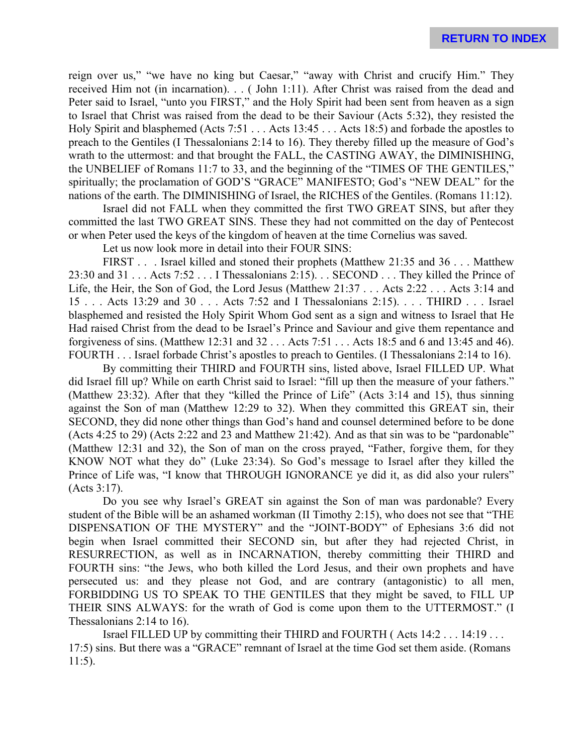reign over us," "we have no king but Caesar," "away with Christ and crucify Him." They received Him not (in incarnation). . . ( John 1:11). After Christ was raised from the dead and Peter said to Israel, "unto you FIRST," and the Holy Spirit had been sent from heaven as a sign to Israel that Christ was raised from the dead to be their Saviour (Acts 5:32), they resisted the Holy Spirit and blasphemed (Acts 7:51 . . . Acts 13:45 . . . Acts 18:5) and forbade the apostles to preach to the Gentiles (I Thessalonians 2:14 to 16). They thereby filled up the measure of God's wrath to the uttermost: and that brought the FALL, the CASTING AWAY, the DIMINISHING, the UNBELIEF of Romans 11:7 to 33, and the beginning of the "TIMES OF THE GENTILES," spiritually; the proclamation of GOD'S "GRACE" MANIFESTO; God's "NEW DEAL" for the nations of the earth. The DIMINISHING of Israel, the RICHES of the Gentiles. (Romans 11:12).

Israel did not FALL when they committed the first TWO GREAT SINS, but after they committed the last TWO GREAT SINS. These they had not committed on the day of Pentecost or when Peter used the keys of the kingdom of heaven at the time Cornelius was saved.

Let us now look more in detail into their FOUR SINS:

FIRST . . . Israel killed and stoned their prophets (Matthew 21:35 and 36 . . . Matthew 23:30 and 31 . . . Acts 7:52 . . . I Thessalonians 2:15). . . SECOND . . . They killed the Prince of Life, the Heir, the Son of God, the Lord Jesus (Matthew 21:37 . . . Acts 2:22 . . . Acts 3:14 and 15 . . . Acts 13:29 and 30 . . . Acts 7:52 and I Thessalonians 2:15). . . . THIRD . . . Israel blasphemed and resisted the Holy Spirit Whom God sent as a sign and witness to Israel that He Had raised Christ from the dead to be Israel's Prince and Saviour and give them repentance and forgiveness of sins. (Matthew 12:31 and 32 . . . Acts 7:51 . . . Acts 18:5 and 6 and 13:45 and 46). FOURTH . . . Israel forbade Christ's apostles to preach to Gentiles. (I Thessalonians 2:14 to 16).

By committing their THIRD and FOURTH sins, listed above, Israel FILLED UP. What did Israel fill up? While on earth Christ said to Israel: "fill up then the measure of your fathers." (Matthew 23:32). After that they "killed the Prince of Life" (Acts 3:14 and 15), thus sinning against the Son of man (Matthew 12:29 to 32). When they committed this GREAT sin, their SECOND, they did none other things than God's hand and counsel determined before to be done (Acts 4:25 to 29) (Acts 2:22 and 23 and Matthew 21:42). And as that sin was to be "pardonable" (Matthew 12:31 and 32), the Son of man on the cross prayed, "Father, forgive them, for they KNOW NOT what they do" (Luke 23:34). So God's message to Israel after they killed the Prince of Life was, "I know that THROUGH IGNORANCE ye did it, as did also your rulers" (Acts 3:17).

Do you see why Israel's GREAT sin against the Son of man was pardonable? Every student of the Bible will be an ashamed workman (II Timothy 2:15), who does not see that "THE DISPENSATION OF THE MYSTERY" and the "JOINT-BODY" of Ephesians 3:6 did not begin when Israel committed their SECOND sin, but after they had rejected Christ, in RESURRECTION, as well as in INCARNATION, thereby committing their THIRD and FOURTH sins: "the Jews, who both killed the Lord Jesus, and their own prophets and have persecuted us: and they please not God, and are contrary (antagonistic) to all men, FORBIDDING US TO SPEAK TO THE GENTILES that they might be saved, to FILL UP THEIR SINS ALWAYS: for the wrath of God is come upon them to the UTTERMOST." (I Thessalonians 2:14 to 16).

Israel FILLED UP by committing their THIRD and FOURTH ( Acts 14:2 . . . 14:19 . . . 17:5) sins. But there was a "GRACE" remnant of Israel at the time God set them aside. (Romans 11:5).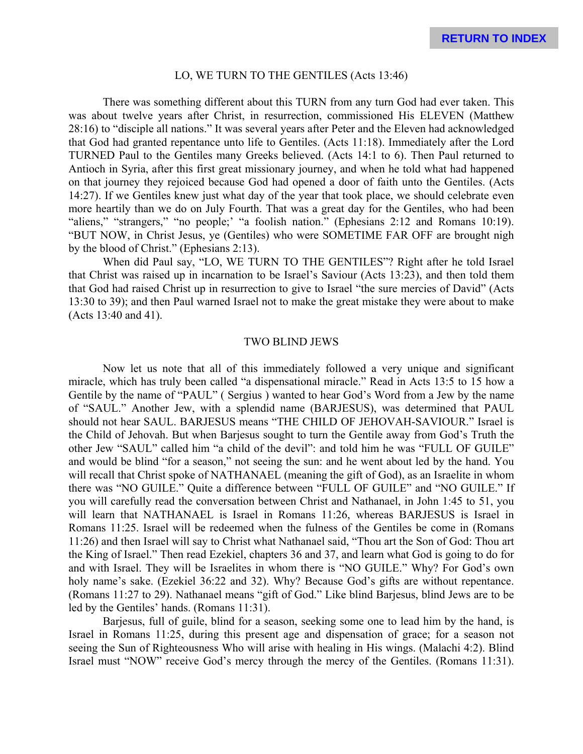#### LO, WE TURN TO THE GENTILES (Acts 13:46)

There was something different about this TURN from any turn God had ever taken. This was about twelve years after Christ, in resurrection, commissioned His ELEVEN (Matthew 28:16) to "disciple all nations." It was several years after Peter and the Eleven had acknowledged that God had granted repentance unto life to Gentiles. (Acts 11:18). Immediately after the Lord TURNED Paul to the Gentiles many Greeks believed. (Acts 14:1 to 6). Then Paul returned to Antioch in Syria, after this first great missionary journey, and when he told what had happened on that journey they rejoiced because God had opened a door of faith unto the Gentiles. (Acts 14:27). If we Gentiles knew just what day of the year that took place, we should celebrate even more heartily than we do on July Fourth. That was a great day for the Gentiles, who had been "aliens," "strangers," "no people;' "a foolish nation." (Ephesians 2:12 and Romans 10:19). "BUT NOW, in Christ Jesus, ye (Gentiles) who were SOMETIME FAR OFF are brought nigh by the blood of Christ." (Ephesians 2:13).

When did Paul say, "LO, WE TURN TO THE GENTILES"? Right after he told Israel that Christ was raised up in incarnation to be Israel's Saviour (Acts 13:23), and then told them that God had raised Christ up in resurrection to give to Israel "the sure mercies of David" (Acts 13:30 to 39); and then Paul warned Israel not to make the great mistake they were about to make (Acts 13:40 and 41).

#### TWO BLIND JEWS

Now let us note that all of this immediately followed a very unique and significant miracle, which has truly been called "a dispensational miracle." Read in Acts 13:5 to 15 how a Gentile by the name of "PAUL" ( Sergius ) wanted to hear God's Word from a Jew by the name of "SAUL." Another Jew, with a splendid name (BARJESUS), was determined that PAUL should not hear SAUL. BARJESUS means "THE CHILD OF JEHOVAH-SAVIOUR." Israel is the Child of Jehovah. But when Barjesus sought to turn the Gentile away from God's Truth the other Jew "SAUL" called him "a child of the devil": and told him he was "FULL OF GUILE" and would be blind "for a season," not seeing the sun: and he went about led by the hand. You will recall that Christ spoke of NATHANAEL (meaning the gift of God), as an Israelite in whom there was "NO GUILE." Quite a difference between "FULL OF GUILE" and "NO GUILE." If you will carefully read the conversation between Christ and Nathanael, in John 1:45 to 51, you will learn that NATHANAEL is Israel in Romans 11:26, whereas BARJESUS is Israel in Romans 11:25. Israel will be redeemed when the fulness of the Gentiles be come in (Romans 11:26) and then Israel will say to Christ what Nathanael said, "Thou art the Son of God: Thou art the King of Israel." Then read Ezekiel, chapters 36 and 37, and learn what God is going to do for and with Israel. They will be Israelites in whom there is "NO GUILE." Why? For God's own holy name's sake. (Ezekiel 36:22 and 32). Why? Because God's gifts are without repentance. (Romans 11:27 to 29). Nathanael means "gift of God." Like blind Barjesus, blind Jews are to be led by the Gentiles' hands. (Romans 11:31).

Barjesus, full of guile, blind for a season, seeking some one to lead him by the hand, is Israel in Romans 11:25, during this present age and dispensation of grace; for a season not seeing the Sun of Righteousness Who will arise with healing in His wings. (Malachi 4:2). Blind Israel must "NOW" receive God's mercy through the mercy of the Gentiles. (Romans 11:31).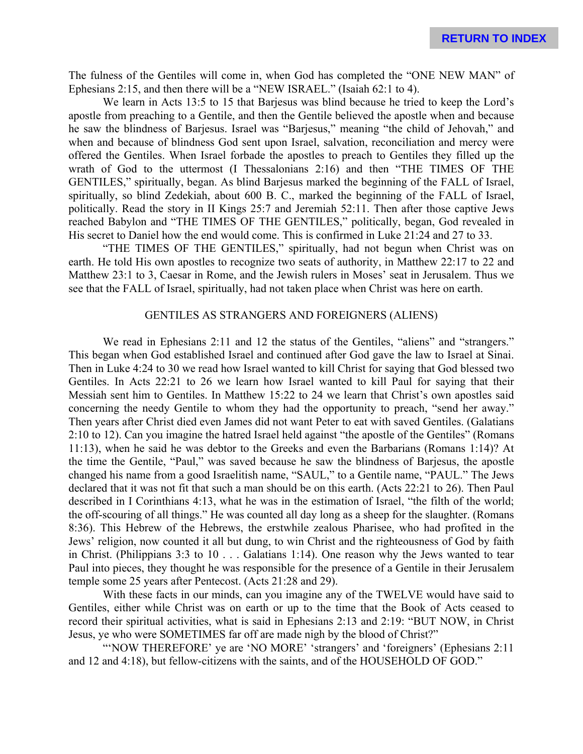The fulness of the Gentiles will come in, when God has completed the "ONE NEW MAN" of Ephesians 2:15, and then there will be a "NEW ISRAEL." (Isaiah 62:1 to 4).

We learn in Acts 13:5 to 15 that Barjesus was blind because he tried to keep the Lord's apostle from preaching to a Gentile, and then the Gentile believed the apostle when and because he saw the blindness of Barjesus. Israel was "Barjesus," meaning "the child of Jehovah," and when and because of blindness God sent upon Israel, salvation, reconciliation and mercy were offered the Gentiles. When Israel forbade the apostles to preach to Gentiles they filled up the wrath of God to the uttermost (I Thessalonians 2:16) and then "THE TIMES OF THE GENTILES," spiritually, began. As blind Barjesus marked the beginning of the FALL of Israel, spiritually, so blind Zedekiah, about 600 B. C., marked the beginning of the FALL of Israel, politically. Read the story in II Kings 25:7 and Jeremiah 52:11. Then after those captive Jews reached Babylon and "THE TIMES OF THE GENTILES," politically, began, God revealed in His secret to Daniel how the end would come. This is confirmed in Luke 21:24 and 27 to 33.

"THE TIMES OF THE GENTILES," spiritually, had not begun when Christ was on earth. He told His own apostles to recognize two seats of authority, in Matthew 22:17 to 22 and Matthew 23:1 to 3, Caesar in Rome, and the Jewish rulers in Moses' seat in Jerusalem. Thus we see that the FALL of Israel, spiritually, had not taken place when Christ was here on earth.

# GENTILES AS STRANGERS AND FOREIGNERS (ALIENS)

We read in Ephesians 2:11 and 12 the status of the Gentiles, "aliens" and "strangers." This began when God established Israel and continued after God gave the law to Israel at Sinai. Then in Luke 4:24 to 30 we read how Israel wanted to kill Christ for saying that God blessed two Gentiles. In Acts 22:21 to 26 we learn how Israel wanted to kill Paul for saying that their Messiah sent him to Gentiles. In Matthew 15:22 to 24 we learn that Christ's own apostles said concerning the needy Gentile to whom they had the opportunity to preach, "send her away." Then years after Christ died even James did not want Peter to eat with saved Gentiles. (Galatians 2:10 to 12). Can you imagine the hatred Israel held against "the apostle of the Gentiles" (Romans 11:13), when he said he was debtor to the Greeks and even the Barbarians (Romans 1:14)? At the time the Gentile, "Paul," was saved because he saw the blindness of Barjesus, the apostle changed his name from a good Israelitish name, "SAUL," to a Gentile name, "PAUL." The Jews declared that it was not fit that such a man should be on this earth. (Acts 22:21 to 26). Then Paul described in I Corinthians 4:13, what he was in the estimation of Israel, "the filth of the world; the off-scouring of all things." He was counted all day long as a sheep for the slaughter. (Romans 8:36). This Hebrew of the Hebrews, the erstwhile zealous Pharisee, who had profited in the Jews' religion, now counted it all but dung, to win Christ and the righteousness of God by faith in Christ. (Philippians 3:3 to 10 . . . Galatians 1:14). One reason why the Jews wanted to tear Paul into pieces, they thought he was responsible for the presence of a Gentile in their Jerusalem temple some 25 years after Pentecost. (Acts 21:28 and 29).

With these facts in our minds, can you imagine any of the TWELVE would have said to Gentiles, either while Christ was on earth or up to the time that the Book of Acts ceased to record their spiritual activities, what is said in Ephesians 2:13 and 2:19: "BUT NOW, in Christ Jesus, ye who were SOMETIMES far off are made nigh by the blood of Christ?"

"'NOW THEREFORE' ye are 'NO MORE' 'strangers' and 'foreigners' (Ephesians 2:11 and 12 and 4:18), but fellow-citizens with the saints, and of the HOUSEHOLD OF GOD."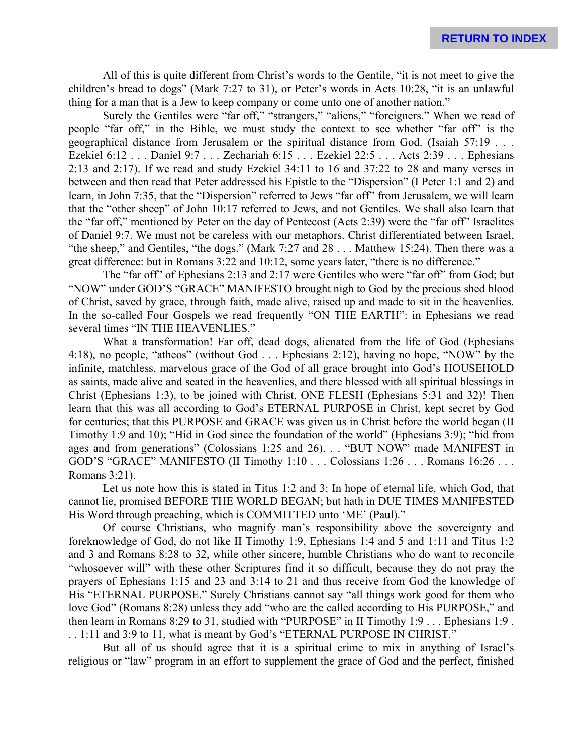All of this is quite different from Christ's words to the Gentile, "it is not meet to give the children's bread to dogs" (Mark 7:27 to 31), or Peter's words in Acts 10:28, "it is an unlawful thing for a man that is a Jew to keep company or come unto one of another nation."

Surely the Gentiles were "far off," "strangers," "aliens," "foreigners." When we read of people "far off," in the Bible, we must study the context to see whether "far off" is the geographical distance from Jerusalem or the spiritual distance from God. (Isaiah 57:19 . . . Ezekiel 6:12 . . . Daniel 9:7 . . . Zechariah 6:15 . . . Ezekiel 22:5 . . . Acts 2:39 . . . Ephesians 2:13 and 2:17). If we read and study Ezekiel 34:11 to 16 and 37:22 to 28 and many verses in between and then read that Peter addressed his Epistle to the "Dispersion" (I Peter 1:1 and 2) and learn, in John 7:35, that the "Dispersion" referred to Jews "far off" from Jerusalem, we will learn that the "other sheep" of John 10:17 referred to Jews, and not Gentiles. We shall also learn that the "far off," mentioned by Peter on the day of Pentecost (Acts 2:39) were the "far off" Israelites of Daniel 9:7. We must not be careless with our metaphors. Christ differentiated between Israel, "the sheep," and Gentiles, "the dogs." (Mark 7:27 and 28 . . . Matthew 15:24). Then there was a great difference: but in Romans 3:22 and 10:12, some years later, "there is no difference."

The "far off" of Ephesians 2:13 and 2:17 were Gentiles who were "far off" from God; but "NOW" under GOD'S "GRACE" MANIFESTO brought nigh to God by the precious shed blood of Christ, saved by grace, through faith, made alive, raised up and made to sit in the heavenlies. In the so-called Four Gospels we read frequently "ON THE EARTH": in Ephesians we read several times "IN THE HEAVENLIES."

What a transformation! Far off, dead dogs, alienated from the life of God (Ephesians 4:18), no people, "atheos" (without God . . . Ephesians 2:12), having no hope, "NOW" by the infinite, matchless, marvelous grace of the God of all grace brought into God's HOUSEHOLD as saints, made alive and seated in the heavenlies, and there blessed with all spiritual blessings in Christ (Ephesians 1:3), to be joined with Christ, ONE FLESH (Ephesians 5:31 and 32)! Then learn that this was all according to God's ETERNAL PURPOSE in Christ, kept secret by God for centuries; that this PURPOSE and GRACE was given us in Christ before the world began (II Timothy 1:9 and 10); "Hid in God since the foundation of the world" (Ephesians 3:9); "hid from ages and from generations" (Colossians 1:25 and 26). . . "BUT NOW" made MANIFEST in GOD'S "GRACE" MANIFESTO (II Timothy 1:10 . . . Colossians 1:26 . . . Romans 16:26 . . . Romans 3:21).

Let us note how this is stated in Titus 1:2 and 3: In hope of eternal life, which God, that cannot lie, promised BEFORE THE WORLD BEGAN; but hath in DUE TIMES MANIFESTED His Word through preaching, which is COMMITTED unto 'ME' (Paul)."

Of course Christians, who magnify man's responsibility above the sovereignty and foreknowledge of God, do not like II Timothy 1:9, Ephesians 1:4 and 5 and 1:11 and Titus 1:2 and 3 and Romans 8:28 to 32, while other sincere, humble Christians who do want to reconcile "whosoever will" with these other Scriptures find it so difficult, because they do not pray the prayers of Ephesians 1:15 and 23 and 3:14 to 21 and thus receive from God the knowledge of His "ETERNAL PURPOSE." Surely Christians cannot say "all things work good for them who love God" (Romans 8:28) unless they add "who are the called according to His PURPOSE," and then learn in Romans 8:29 to 31, studied with "PURPOSE" in II Timothy 1:9 . . . Ephesians 1:9 . . . 1:11 and 3:9 to 11, what is meant by God's "ETERNAL PURPOSE IN CHRIST."

But all of us should agree that it is a spiritual crime to mix in anything of Israel's religious or "law" program in an effort to supplement the grace of God and the perfect, finished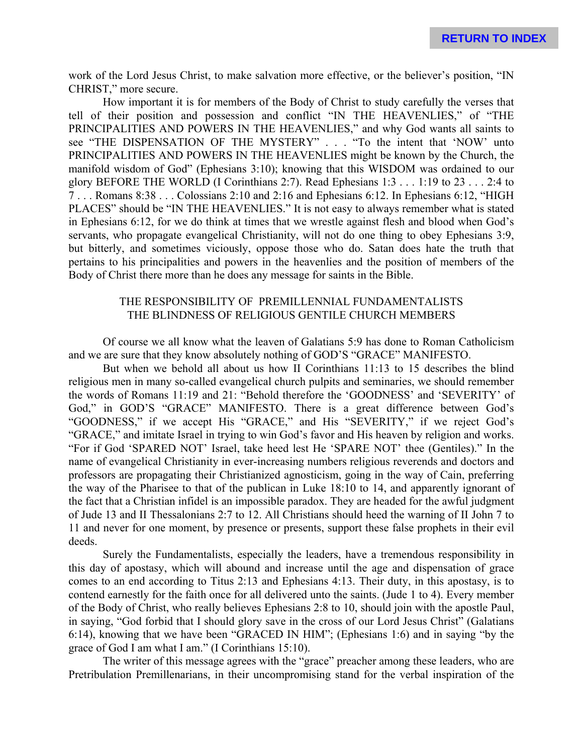work of the Lord Jesus Christ, to make salvation more effective, or the believer's position, "IN CHRIST," more secure.

How important it is for members of the Body of Christ to study carefully the verses that tell of their position and possession and conflict "IN THE HEAVENLIES," of "THE PRINCIPALITIES AND POWERS IN THE HEAVENLIES," and why God wants all saints to see "THE DISPENSATION OF THE MYSTERY" . . . "To the intent that 'NOW' unto PRINCIPALITIES AND POWERS IN THE HEAVENLIES might be known by the Church, the manifold wisdom of God" (Ephesians 3:10); knowing that this WISDOM was ordained to our glory BEFORE THE WORLD (I Corinthians 2:7). Read Ephesians 1:3 . . . 1:19 to 23 . . . 2:4 to 7 . . . Romans 8:38 . . . Colossians 2:10 and 2:16 and Ephesians 6:12. In Ephesians 6:12, "HIGH PLACES" should be "IN THE HEAVENLIES." It is not easy to always remember what is stated in Ephesians 6:12, for we do think at times that we wrestle against flesh and blood when God's servants, who propagate evangelical Christianity, will not do one thing to obey Ephesians 3:9, but bitterly, and sometimes viciously, oppose those who do. Satan does hate the truth that pertains to his principalities and powers in the heavenlies and the position of members of the Body of Christ there more than he does any message for saints in the Bible.

# THE RESPONSIBILITY OF PREMILLENNIAL FUNDAMENTALISTS THE BLINDNESS OF RELIGIOUS GENTILE CHURCH MEMBERS

Of course we all know what the leaven of Galatians 5:9 has done to Roman Catholicism and we are sure that they know absolutely nothing of GOD'S "GRACE" MANIFESTO.

But when we behold all about us how II Corinthians 11:13 to 15 describes the blind religious men in many so-called evangelical church pulpits and seminaries, we should remember the words of Romans 11:19 and 21: "Behold therefore the 'GOODNESS' and 'SEVERITY' of God," in GOD'S "GRACE" MANIFESTO. There is a great difference between God's "GOODNESS," if we accept His "GRACE," and His "SEVERITY," if we reject God's "GRACE," and imitate Israel in trying to win God's favor and His heaven by religion and works. "For if God 'SPARED NOT' Israel, take heed lest He 'SPARE NOT' thee (Gentiles)." In the name of evangelical Christianity in ever-increasing numbers religious reverends and doctors and professors are propagating their Christianized agnosticism, going in the way of Cain, preferring the way of the Pharisee to that of the publican in Luke 18:10 to 14, and apparently ignorant of the fact that a Christian infidel is an impossible paradox. They are headed for the awful judgment of Jude 13 and II Thessalonians 2:7 to 12. All Christians should heed the warning of II John 7 to 11 and never for one moment, by presence or presents, support these false prophets in their evil deeds.

Surely the Fundamentalists, especially the leaders, have a tremendous responsibility in this day of apostasy, which will abound and increase until the age and dispensation of grace comes to an end according to Titus 2:13 and Ephesians 4:13. Their duty, in this apostasy, is to contend earnestly for the faith once for all delivered unto the saints. (Jude 1 to 4). Every member of the Body of Christ, who really believes Ephesians 2:8 to 10, should join with the apostle Paul, in saying, "God forbid that I should glory save in the cross of our Lord Jesus Christ" (Galatians 6:14), knowing that we have been "GRACED IN HIM"; (Ephesians 1:6) and in saying "by the grace of God I am what I am." (I Corinthians 15:10).

The writer of this message agrees with the "grace" preacher among these leaders, who are Pretribulation Premillenarians, in their uncompromising stand for the verbal inspiration of the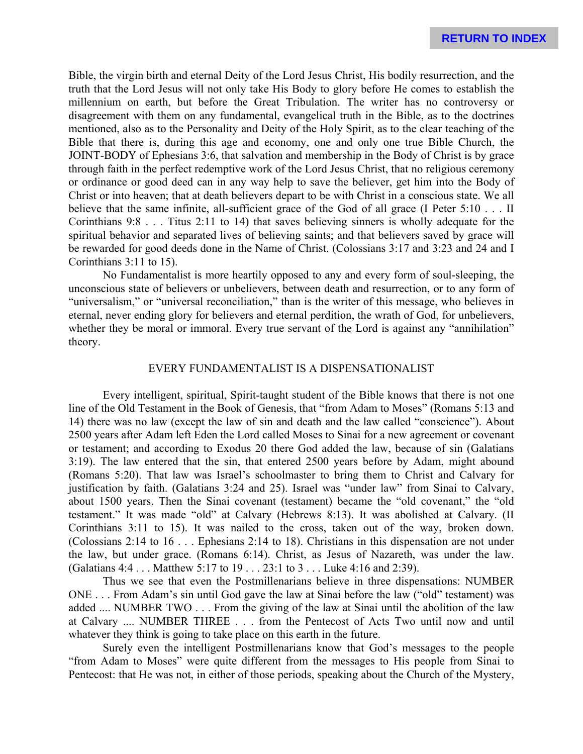Bible, the virgin birth and eternal Deity of the Lord Jesus Christ, His bodily resurrection, and the truth that the Lord Jesus will not only take His Body to glory before He comes to establish the millennium on earth, but before the Great Tribulation. The writer has no controversy or disagreement with them on any fundamental, evangelical truth in the Bible, as to the doctrines mentioned, also as to the Personality and Deity of the Holy Spirit, as to the clear teaching of the Bible that there is, during this age and economy, one and only one true Bible Church, the JOINT-BODY of Ephesians 3:6, that salvation and membership in the Body of Christ is by grace through faith in the perfect redemptive work of the Lord Jesus Christ, that no religious ceremony or ordinance or good deed can in any way help to save the believer, get him into the Body of Christ or into heaven; that at death believers depart to be with Christ in a conscious state. We all believe that the same infinite, all-sufficient grace of the God of all grace (I Peter 5:10 . . . II Corinthians 9:8 . . . Titus 2:11 to 14) that saves believing sinners is wholly adequate for the spiritual behavior and separated lives of believing saints; and that believers saved by grace will be rewarded for good deeds done in the Name of Christ. (Colossians 3:17 and 3:23 and 24 and I Corinthians 3:11 to 15).

No Fundamentalist is more heartily opposed to any and every form of soul-sleeping, the unconscious state of believers or unbelievers, between death and resurrection, or to any form of "universalism," or "universal reconciliation," than is the writer of this message, who believes in eternal, never ending glory for believers and eternal perdition, the wrath of God, for unbelievers, whether they be moral or immoral. Every true servant of the Lord is against any "annihilation" theory.

## EVERY FUNDAMENTALIST IS A DISPENSATIONALIST

Every intelligent, spiritual, Spirit-taught student of the Bible knows that there is not one line of the Old Testament in the Book of Genesis, that "from Adam to Moses" (Romans 5:13 and 14) there was no law (except the law of sin and death and the law called "conscience"). About 2500 years after Adam left Eden the Lord called Moses to Sinai for a new agreement or covenant or testament; and according to Exodus 20 there God added the law, because of sin (Galatians 3:19). The law entered that the sin, that entered 2500 years before by Adam, might abound (Romans 5:20). That law was Israel's schoolmaster to bring them to Christ and Calvary for justification by faith. (Galatians 3:24 and 25). Israel was "under law" from Sinai to Calvary, about 1500 years. Then the Sinai covenant (testament) became the "old covenant," the "old testament." It was made "old" at Calvary (Hebrews 8:13). It was abolished at Calvary. (II Corinthians 3:11 to 15). It was nailed to the cross, taken out of the way, broken down. (Colossians 2:14 to 16 . . . Ephesians 2:14 to 18). Christians in this dispensation are not under the law, but under grace. (Romans 6:14). Christ, as Jesus of Nazareth, was under the law. (Galatians 4:4 . . . Matthew 5:17 to 19 . . . 23:1 to 3 . . . Luke 4:16 and 2:39).

Thus we see that even the Postmillenarians believe in three dispensations: NUMBER ONE . . . From Adam's sin until God gave the law at Sinai before the law ("old" testament) was added .... NUMBER TWO . . . From the giving of the law at Sinai until the abolition of the law at Calvary .... NUMBER THREE . . . from the Pentecost of Acts Two until now and until whatever they think is going to take place on this earth in the future.

Surely even the intelligent Postmillenarians know that God's messages to the people "from Adam to Moses" were quite different from the messages to His people from Sinai to Pentecost: that He was not, in either of those periods, speaking about the Church of the Mystery,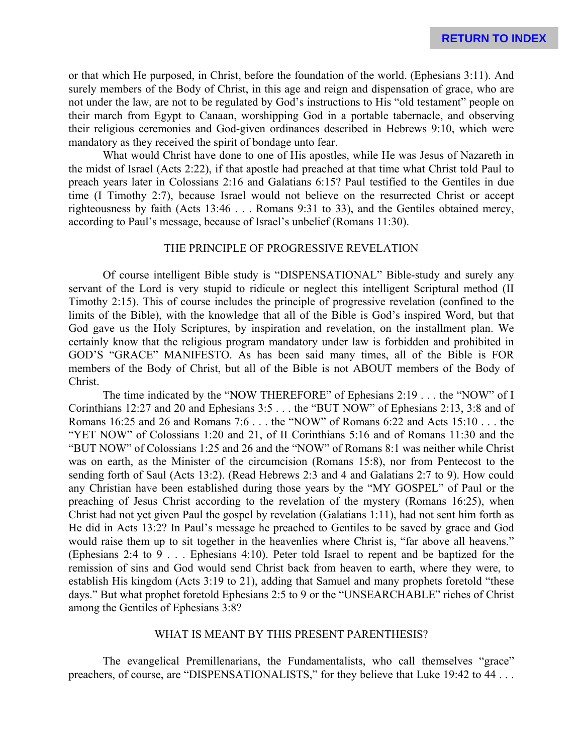or that which He purposed, in Christ, before the foundation of the world. (Ephesians 3:11). And surely members of the Body of Christ, in this age and reign and dispensation of grace, who are not under the law, are not to be regulated by God's instructions to His "old testament" people on their march from Egypt to Canaan, worshipping God in a portable tabernacle, and observing their religious ceremonies and God-given ordinances described in Hebrews 9:10, which were mandatory as they received the spirit of bondage unto fear.

What would Christ have done to one of His apostles, while He was Jesus of Nazareth in the midst of Israel (Acts 2:22), if that apostle had preached at that time what Christ told Paul to preach years later in Colossians 2:16 and Galatians 6:15? Paul testified to the Gentiles in due time (I Timothy 2:7), because Israel would not believe on the resurrected Christ or accept righteousness by faith (Acts 13:46 . . . Romans 9:31 to 33), and the Gentiles obtained mercy, according to Paul's message, because of Israel's unbelief (Romans 11:30).

# THE PRINCIPLE OF PROGRESSIVE REVELATION

Of course intelligent Bible study is "DISPENSATIONAL" Bible-study and surely any servant of the Lord is very stupid to ridicule or neglect this intelligent Scriptural method (II Timothy 2:15). This of course includes the principle of progressive revelation (confined to the limits of the Bible), with the knowledge that all of the Bible is God's inspired Word, but that God gave us the Holy Scriptures, by inspiration and revelation, on the installment plan. We certainly know that the religious program mandatory under law is forbidden and prohibited in GOD'S "GRACE" MANIFESTO. As has been said many times, all of the Bible is FOR members of the Body of Christ, but all of the Bible is not ABOUT members of the Body of Christ.

The time indicated by the "NOW THEREFORE" of Ephesians 2:19 . . . the "NOW" of I Corinthians 12:27 and 20 and Ephesians 3:5 . . . the "BUT NOW" of Ephesians 2:13, 3:8 and of Romans 16:25 and 26 and Romans 7:6 . . . the "NOW" of Romans 6:22 and Acts 15:10 . . . the "YET NOW" of Colossians 1:20 and 21, of II Corinthians 5:16 and of Romans 11:30 and the "BUT NOW" of Colossians 1:25 and 26 and the "NOW" of Romans 8:1 was neither while Christ was on earth, as the Minister of the circumcision (Romans 15:8), nor from Pentecost to the sending forth of Saul (Acts 13:2). (Read Hebrews 2:3 and 4 and Galatians 2:7 to 9). How could any Christian have been established during those years by the "MY GOSPEL" of Paul or the preaching of Jesus Christ according to the revelation of the mystery (Romans 16:25), when Christ had not yet given Paul the gospel by revelation (Galatians 1:11), had not sent him forth as He did in Acts 13:2? In Paul's message he preached to Gentiles to be saved by grace and God would raise them up to sit together in the heavenlies where Christ is, "far above all heavens." (Ephesians 2:4 to 9 . . . Ephesians 4:10). Peter told Israel to repent and be baptized for the remission of sins and God would send Christ back from heaven to earth, where they were, to establish His kingdom (Acts 3:19 to 21), adding that Samuel and many prophets foretold "these days." But what prophet foretold Ephesians 2:5 to 9 or the "UNSEARCHABLE" riches of Christ among the Gentiles of Ephesians 3:8?

# WHAT IS MEANT BY THIS PRESENT PARENTHESIS?

The evangelical Premillenarians, the Fundamentalists, who call themselves "grace" preachers, of course, are "DISPENSATIONALISTS," for they believe that Luke 19:42 to 44 . . .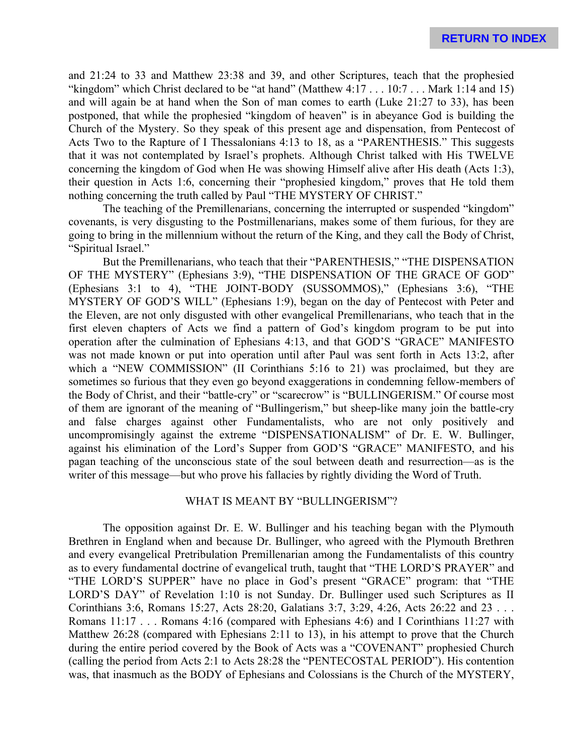and 21:24 to 33 and Matthew 23:38 and 39, and other Scriptures, teach that the prophesied "kingdom" which Christ declared to be "at hand" (Matthew  $4:17...10:7...$  Mark 1:14 and 15) and will again be at hand when the Son of man comes to earth (Luke 21:27 to 33), has been postponed, that while the prophesied "kingdom of heaven" is in abeyance God is building the Church of the Mystery. So they speak of this present age and dispensation, from Pentecost of Acts Two to the Rapture of I Thessalonians 4:13 to 18, as a "PARENTHESIS." This suggests that it was not contemplated by Israel's prophets. Although Christ talked with His TWELVE concerning the kingdom of God when He was showing Himself alive after His death (Acts 1:3), their question in Acts 1:6, concerning their "prophesied kingdom," proves that He told them nothing concerning the truth called by Paul "THE MYSTERY OF CHRIST."

The teaching of the Premillenarians, concerning the interrupted or suspended "kingdom" covenants, is very disgusting to the Postmillenarians, makes some of them furious, for they are going to bring in the millennium without the return of the King, and they call the Body of Christ, "Spiritual Israel."

But the Premillenarians, who teach that their "PARENTHESIS," "THE DISPENSATION OF THE MYSTERY" (Ephesians 3:9), "THE DISPENSATION OF THE GRACE OF GOD" (Ephesians 3:1 to 4), "THE JOINT-BODY (SUSSOMMOS)," (Ephesians 3:6), "THE MYSTERY OF GOD'S WILL" (Ephesians 1:9), began on the day of Pentecost with Peter and the Eleven, are not only disgusted with other evangelical Premillenarians, who teach that in the first eleven chapters of Acts we find a pattern of God's kingdom program to be put into operation after the culmination of Ephesians 4:13, and that GOD'S "GRACE" MANIFESTO was not made known or put into operation until after Paul was sent forth in Acts 13:2, after which a "NEW COMMISSION" (II Corinthians 5:16 to 21) was proclaimed, but they are sometimes so furious that they even go beyond exaggerations in condemning fellow-members of the Body of Christ, and their "battle-cry" or "scarecrow" is "BULLINGERISM." Of course most of them are ignorant of the meaning of "Bullingerism," but sheep-like many join the battle-cry and false charges against other Fundamentalists, who are not only positively and uncompromisingly against the extreme "DISPENSATIONALISM" of Dr. E. W. Bullinger, against his elimination of the Lord's Supper from GOD'S "GRACE" MANIFESTO, and his pagan teaching of the unconscious state of the soul between death and resurrection—as is the writer of this message—but who prove his fallacies by rightly dividing the Word of Truth.

#### WHAT IS MEANT BY "BULLINGERISM"?

The opposition against Dr. E. W. Bullinger and his teaching began with the Plymouth Brethren in England when and because Dr. Bullinger, who agreed with the Plymouth Brethren and every evangelical Pretribulation Premillenarian among the Fundamentalists of this country as to every fundamental doctrine of evangelical truth, taught that "THE LORD'S PRAYER" and "THE LORD'S SUPPER" have no place in God's present "GRACE" program: that "THE LORD'S DAY" of Revelation 1:10 is not Sunday. Dr. Bullinger used such Scriptures as II Corinthians 3:6, Romans 15:27, Acts 28:20, Galatians 3:7, 3:29, 4:26, Acts 26:22 and 23 . . . Romans 11:17 . . . Romans 4:16 (compared with Ephesians 4:6) and I Corinthians 11:27 with Matthew 26:28 (compared with Ephesians 2:11 to 13), in his attempt to prove that the Church during the entire period covered by the Book of Acts was a "COVENANT" prophesied Church (calling the period from Acts 2:1 to Acts 28:28 the "PENTECOSTAL PERIOD"). His contention was, that inasmuch as the BODY of Ephesians and Colossians is the Church of the MYSTERY,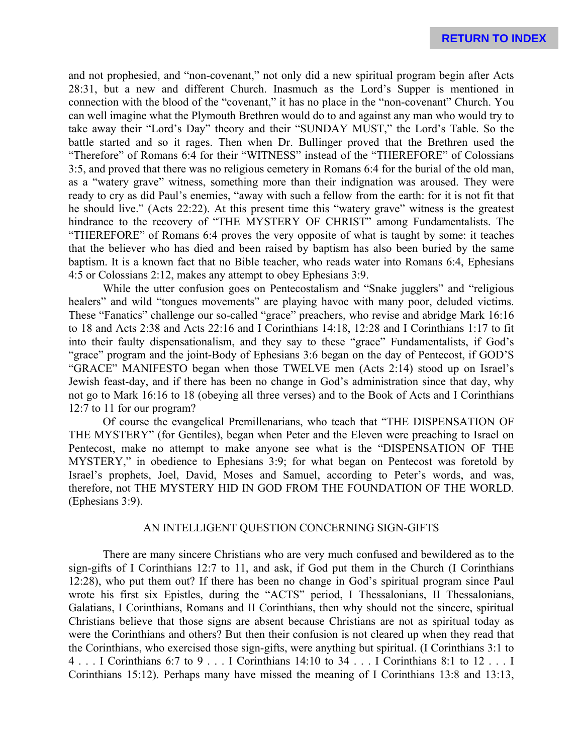and not prophesied, and "non-covenant," not only did a new spiritual program begin after Acts 28:31, but a new and different Church. Inasmuch as the Lord's Supper is mentioned in connection with the blood of the "covenant," it has no place in the "non-covenant" Church. You can well imagine what the Plymouth Brethren would do to and against any man who would try to take away their "Lord's Day" theory and their "SUNDAY MUST," the Lord's Table. So the battle started and so it rages. Then when Dr. Bullinger proved that the Brethren used the "Therefore" of Romans 6:4 for their "WITNESS" instead of the "THEREFORE" of Colossians 3:5, and proved that there was no religious cemetery in Romans 6:4 for the burial of the old man, as a "watery grave" witness, something more than their indignation was aroused. They were ready to cry as did Paul's enemies, "away with such a fellow from the earth: for it is not fit that he should live." (Acts 22:22). At this present time this "watery grave" witness is the greatest hindrance to the recovery of "THE MYSTERY OF CHRIST" among Fundamentalists. The "THEREFORE" of Romans 6:4 proves the very opposite of what is taught by some: it teaches that the believer who has died and been raised by baptism has also been buried by the same baptism. It is a known fact that no Bible teacher, who reads water into Romans 6:4, Ephesians 4:5 or Colossians 2:12, makes any attempt to obey Ephesians 3:9.

While the utter confusion goes on Pentecostalism and "Snake jugglers" and "religious healers" and wild "tongues movements" are playing havoc with many poor, deluded victims. These "Fanatics" challenge our so-called "grace" preachers, who revise and abridge Mark 16:16 to 18 and Acts 2:38 and Acts 22:16 and I Corinthians 14:18, 12:28 and I Corinthians 1:17 to fit into their faulty dispensationalism, and they say to these "grace" Fundamentalists, if God's "grace" program and the joint-Body of Ephesians 3:6 began on the day of Pentecost, if GOD'S "GRACE" MANIFESTO began when those TWELVE men (Acts 2:14) stood up on Israel's Jewish feast-day, and if there has been no change in God's administration since that day, why not go to Mark 16:16 to 18 (obeying all three verses) and to the Book of Acts and I Corinthians 12:7 to 11 for our program?

Of course the evangelical Premillenarians, who teach that "THE DISPENSATION OF THE MYSTERY" (for Gentiles), began when Peter and the Eleven were preaching to Israel on Pentecost, make no attempt to make anyone see what is the "DISPENSATION OF THE MYSTERY," in obedience to Ephesians 3:9; for what began on Pentecost was foretold by Israel's prophets, Joel, David, Moses and Samuel, according to Peter's words, and was, therefore, not THE MYSTERY HID IN GOD FROM THE FOUNDATION OF THE WORLD. (Ephesians 3:9).

#### AN INTELLIGENT QUESTION CONCERNING SIGN-GIFTS

There are many sincere Christians who are very much confused and bewildered as to the sign-gifts of I Corinthians 12:7 to 11, and ask, if God put them in the Church (I Corinthians 12:28), who put them out? If there has been no change in God's spiritual program since Paul wrote his first six Epistles, during the "ACTS" period, I Thessalonians, II Thessalonians, Galatians, I Corinthians, Romans and II Corinthians, then why should not the sincere, spiritual Christians believe that those signs are absent because Christians are not as spiritual today as were the Corinthians and others? But then their confusion is not cleared up when they read that the Corinthians, who exercised those sign-gifts, were anything but spiritual. (I Corinthians 3:1 to 4 . . . I Corinthians 6:7 to 9 . . . I Corinthians 14:10 to 34 . . . I Corinthians 8:1 to 12 . . . I Corinthians 15:12). Perhaps many have missed the meaning of I Corinthians 13:8 and 13:13,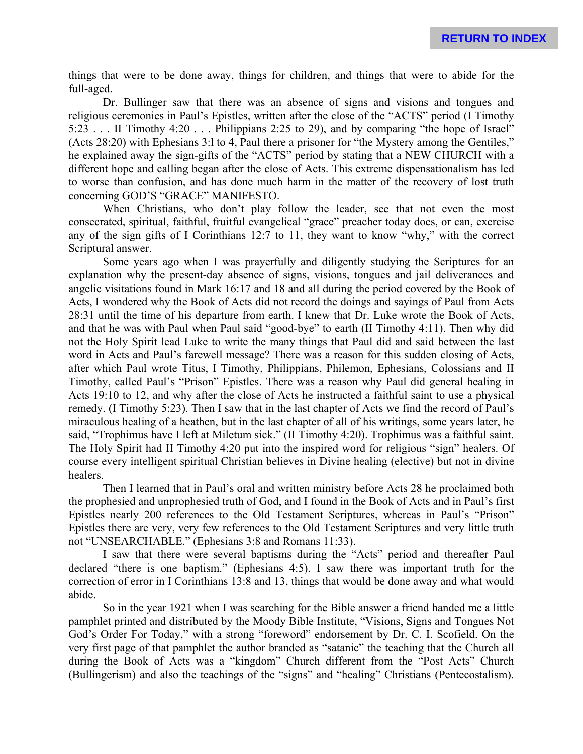things that were to be done away, things for children, and things that were to abide for the full-aged.

Dr. Bullinger saw that there was an absence of signs and visions and tongues and religious ceremonies in Paul's Epistles, written after the close of the "ACTS" period (I Timothy 5:23 . . . II Timothy 4:20 . . . Philippians 2:25 to 29), and by comparing "the hope of Israel" (Acts 28:20) with Ephesians 3:l to 4, Paul there a prisoner for "the Mystery among the Gentiles," he explained away the sign-gifts of the "ACTS" period by stating that a NEW CHURCH with a different hope and calling began after the close of Acts. This extreme dispensationalism has led to worse than confusion, and has done much harm in the matter of the recovery of lost truth concerning GOD'S "GRACE" MANIFESTO.

When Christians, who don't play follow the leader, see that not even the most consecrated, spiritual, faithful, fruitful evangelical "grace" preacher today does, or can, exercise any of the sign gifts of I Corinthians 12:7 to 11, they want to know "why," with the correct Scriptural answer.

Some years ago when I was prayerfully and diligently studying the Scriptures for an explanation why the present-day absence of signs, visions, tongues and jail deliverances and angelic visitations found in Mark 16:17 and 18 and all during the period covered by the Book of Acts, I wondered why the Book of Acts did not record the doings and sayings of Paul from Acts 28:31 until the time of his departure from earth. I knew that Dr. Luke wrote the Book of Acts, and that he was with Paul when Paul said "good-bye" to earth (II Timothy 4:11). Then why did not the Holy Spirit lead Luke to write the many things that Paul did and said between the last word in Acts and Paul's farewell message? There was a reason for this sudden closing of Acts, after which Paul wrote Titus, I Timothy, Philippians, Philemon, Ephesians, Colossians and II Timothy, called Paul's "Prison" Epistles. There was a reason why Paul did general healing in Acts 19:10 to 12, and why after the close of Acts he instructed a faithful saint to use a physical remedy. (I Timothy 5:23). Then I saw that in the last chapter of Acts we find the record of Paul's miraculous healing of a heathen, but in the last chapter of all of his writings, some years later, he said, "Trophimus have I left at Miletum sick." (II Timothy 4:20). Trophimus was a faithful saint. The Holy Spirit had II Timothy 4:20 put into the inspired word for religious "sign" healers. Of course every intelligent spiritual Christian believes in Divine healing (elective) but not in divine healers.

Then I learned that in Paul's oral and written ministry before Acts 28 he proclaimed both the prophesied and unprophesied truth of God, and I found in the Book of Acts and in Paul's first Epistles nearly 200 references to the Old Testament Scriptures, whereas in Paul's "Prison" Epistles there are very, very few references to the Old Testament Scriptures and very little truth not "UNSEARCHABLE." (Ephesians 3:8 and Romans 11:33).

I saw that there were several baptisms during the "Acts" period and thereafter Paul declared "there is one baptism." (Ephesians 4:5). I saw there was important truth for the correction of error in I Corinthians 13:8 and 13, things that would be done away and what would abide.

So in the year 1921 when I was searching for the Bible answer a friend handed me a little pamphlet printed and distributed by the Moody Bible Institute, "Visions, Signs and Tongues Not God's Order For Today," with a strong "foreword" endorsement by Dr. C. I. Scofield. On the very first page of that pamphlet the author branded as "satanic" the teaching that the Church all during the Book of Acts was a "kingdom" Church different from the "Post Acts" Church (Bullingerism) and also the teachings of the "signs" and "healing" Christians (Pentecostalism).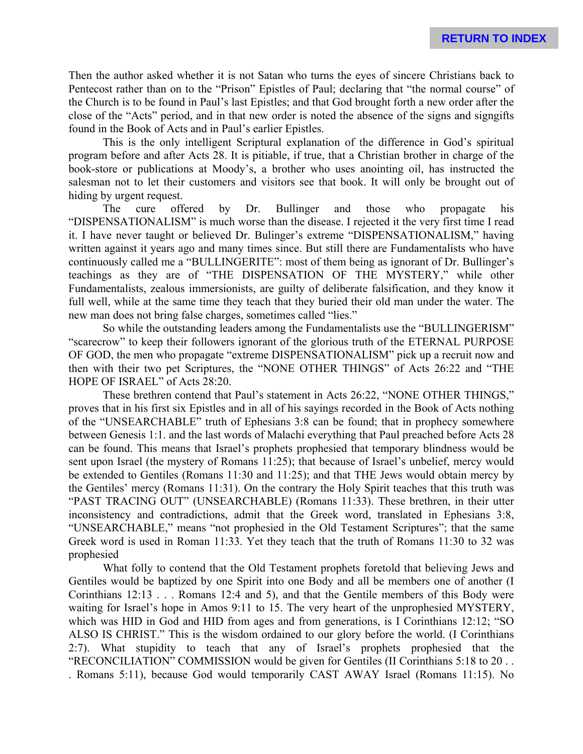Then the author asked whether it is not Satan who turns the eyes of sincere Christians back to Pentecost rather than on to the "Prison" Epistles of Paul; declaring that "the normal course" of the Church is to be found in Paul's last Epistles; and that God brought forth a new order after the close of the "Acts" period, and in that new order is noted the absence of the signs and signgifts found in the Book of Acts and in Paul's earlier Epistles.

This is the only intelligent Scriptural explanation of the difference in God's spiritual program before and after Acts 28. It is pitiable, if true, that a Christian brother in charge of the book-store or publications at Moody's, a brother who uses anointing oil, has instructed the salesman not to let their customers and visitors see that book. It will only be brought out of hiding by urgent request.

The cure offered by Dr. Bullinger and those who propagate his "DISPENSATIONALISM" is much worse than the disease. I rejected it the very first time I read it. I have never taught or believed Dr. Bulinger's extreme "DISPENSATIONALISM," having written against it years ago and many times since. But still there are Fundamentalists who have continuously called me a "BULLINGERITE": most of them being as ignorant of Dr. Bullinger's teachings as they are of "THE DISPENSATION OF THE MYSTERY," while other Fundamentalists, zealous immersionists, are guilty of deliberate falsification, and they know it full well, while at the same time they teach that they buried their old man under the water. The new man does not bring false charges, sometimes called "lies."

So while the outstanding leaders among the Fundamentalists use the "BULLINGERISM" "scarecrow" to keep their followers ignorant of the glorious truth of the ETERNAL PURPOSE OF GOD, the men who propagate "extreme DISPENSATIONALISM" pick up a recruit now and then with their two pet Scriptures, the "NONE OTHER THINGS" of Acts 26:22 and "THE HOPE OF ISRAEL" of Acts 28:20.

These brethren contend that Paul's statement in Acts 26:22, "NONE OTHER THINGS," proves that in his first six Epistles and in all of his sayings recorded in the Book of Acts nothing of the "UNSEARCHABLE" truth of Ephesians 3:8 can be found; that in prophecy somewhere between Genesis 1:1. and the last words of Malachi everything that Paul preached before Acts 28 can be found. This means that Israel's prophets prophesied that temporary blindness would be sent upon Israel (the mystery of Romans 11:25); that because of Israel's unbelief, mercy would be extended to Gentiles (Romans 11:30 and 11:25); and that THE Jews would obtain mercy by the Gentiles' mercy (Romans 11:31). On the contrary the Holy Spirit teaches that this truth was "PAST TRACING OUT" (UNSEARCHABLE) (Romans 11:33). These brethren, in their utter inconsistency and contradictions, admit that the Greek word, translated in Ephesians 3:8, "UNSEARCHABLE," means "not prophesied in the Old Testament Scriptures"; that the same Greek word is used in Roman 11:33. Yet they teach that the truth of Romans 11:30 to 32 was prophesied

What folly to contend that the Old Testament prophets foretold that believing Jews and Gentiles would be baptized by one Spirit into one Body and all be members one of another (I Corinthians 12:13 . . . Romans 12:4 and 5), and that the Gentile members of this Body were waiting for Israel's hope in Amos 9:11 to 15. The very heart of the unprophesied MYSTERY, which was HID in God and HID from ages and from generations, is I Corinthians 12:12; "SO ALSO IS CHRIST." This is the wisdom ordained to our glory before the world. (I Corinthians 2:7). What stupidity to teach that any of Israel's prophets prophesied that the "RECONCILIATION" COMMISSION would be given for Gentiles (II Corinthians 5:18 to 20 . . . Romans 5:11), because God would temporarily CAST AWAY Israel (Romans 11:15). No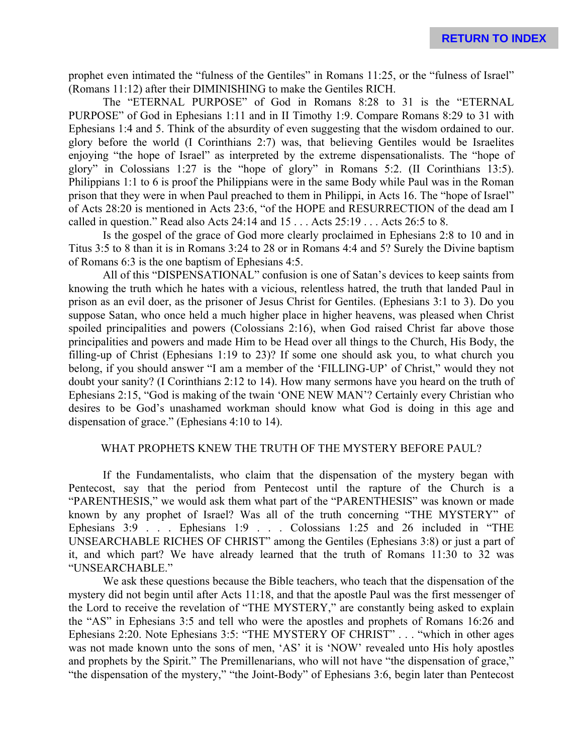prophet even intimated the "fulness of the Gentiles" in Romans 11:25, or the "fulness of Israel" (Romans 11:12) after their DIMINISHING to make the Gentiles RICH.

The "ETERNAL PURPOSE" of God in Romans 8:28 to 31 is the "ETERNAL PURPOSE" of God in Ephesians 1:11 and in II Timothy 1:9. Compare Romans 8:29 to 31 with Ephesians 1:4 and 5. Think of the absurdity of even suggesting that the wisdom ordained to our. glory before the world (I Corinthians 2:7) was, that believing Gentiles would be Israelites enjoying "the hope of Israel" as interpreted by the extreme dispensationalists. The "hope of glory" in Colossians 1:27 is the "hope of glory" in Romans 5:2. (II Corinthians 13:5). Philippians 1:1 to 6 is proof the Philippians were in the same Body while Paul was in the Roman prison that they were in when Paul preached to them in Philippi, in Acts 16. The "hope of Israel" of Acts 28:20 is mentioned in Acts 23:6, "of the HOPE and RESURRECTION of the dead am I called in question." Read also Acts 24:14 and 15 . . . Acts 25:19 . . . Acts 26:5 to 8.

Is the gospel of the grace of God more clearly proclaimed in Ephesians 2:8 to 10 and in Titus 3:5 to 8 than it is in Romans 3:24 to 28 or in Romans 4:4 and 5? Surely the Divine baptism of Romans 6:3 is the one baptism of Ephesians 4:5.

All of this "DISPENSATIONAL" confusion is one of Satan's devices to keep saints from knowing the truth which he hates with a vicious, relentless hatred, the truth that landed Paul in prison as an evil doer, as the prisoner of Jesus Christ for Gentiles. (Ephesians 3:1 to 3). Do you suppose Satan, who once held a much higher place in higher heavens, was pleased when Christ spoiled principalities and powers (Colossians 2:16), when God raised Christ far above those principalities and powers and made Him to be Head over all things to the Church, His Body, the filling-up of Christ (Ephesians 1:19 to 23)? If some one should ask you, to what church you belong, if you should answer "I am a member of the 'FILLING-UP' of Christ," would they not doubt your sanity? (I Corinthians 2:12 to 14). How many sermons have you heard on the truth of Ephesians 2:15, "God is making of the twain 'ONE NEW MAN'? Certainly every Christian who desires to be God's unashamed workman should know what God is doing in this age and dispensation of grace." (Ephesians 4:10 to 14).

#### WHAT PROPHETS KNEW THE TRUTH OF THE MYSTERY BEFORE PAUL?

If the Fundamentalists, who claim that the dispensation of the mystery began with Pentecost, say that the period from Pentecost until the rapture of the Church is a "PARENTHESIS," we would ask them what part of the "PARENTHESIS" was known or made known by any prophet of Israel? Was all of the truth concerning "THE MYSTERY" of Ephesians 3:9 . . . Ephesians 1:9 . . . Colossians 1:25 and 26 included in "THE UNSEARCHABLE RICHES OF CHRIST" among the Gentiles (Ephesians 3:8) or just a part of it, and which part? We have already learned that the truth of Romans 11:30 to 32 was "UNSEARCHABLE."

We ask these questions because the Bible teachers, who teach that the dispensation of the mystery did not begin until after Acts 11:18, and that the apostle Paul was the first messenger of the Lord to receive the revelation of "THE MYSTERY," are constantly being asked to explain the "AS" in Ephesians 3:5 and tell who were the apostles and prophets of Romans 16:26 and Ephesians 2:20. Note Ephesians 3:5: "THE MYSTERY OF CHRIST" . . . "which in other ages was not made known unto the sons of men, 'AS' it is 'NOW' revealed unto His holy apostles and prophets by the Spirit." The Premillenarians, who will not have "the dispensation of grace," "the dispensation of the mystery," "the Joint-Body" of Ephesians 3:6, begin later than Pentecost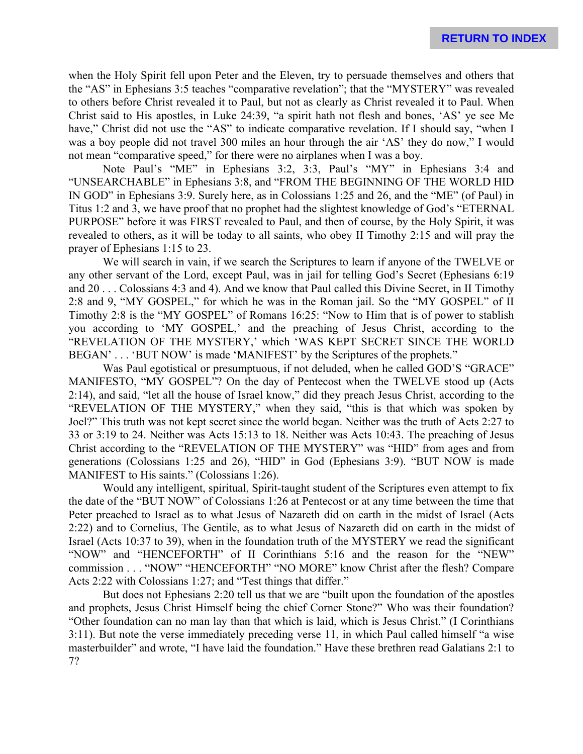when the Holy Spirit fell upon Peter and the Eleven, try to persuade themselves and others that the "AS" in Ephesians 3:5 teaches "comparative revelation"; that the "MYSTERY" was revealed to others before Christ revealed it to Paul, but not as clearly as Christ revealed it to Paul. When Christ said to His apostles, in Luke 24:39, "a spirit hath not flesh and bones, 'AS' ye see Me have," Christ did not use the "AS" to indicate comparative revelation. If I should say, "when I was a boy people did not travel 300 miles an hour through the air 'AS' they do now," I would not mean "comparative speed," for there were no airplanes when I was a boy.

Note Paul's "ME" in Ephesians 3:2, 3:3, Paul's "MY" in Ephesians 3:4 and "UNSEARCHABLE" in Ephesians 3:8, and "FROM THE BEGINNING OF THE WORLD HID IN GOD" in Ephesians 3:9. Surely here, as in Colossians 1:25 and 26, and the "ME" (of Paul) in Titus 1:2 and 3, we have proof that no prophet had the slightest knowledge of God's "ETERNAL PURPOSE" before it was FIRST revealed to Paul, and then of course, by the Holy Spirit, it was revealed to others, as it will be today to all saints, who obey II Timothy 2:15 and will pray the prayer of Ephesians 1:15 to 23.

We will search in vain, if we search the Scriptures to learn if anyone of the TWELVE or any other servant of the Lord, except Paul, was in jail for telling God's Secret (Ephesians 6:19 and 20 . . . Colossians 4:3 and 4). And we know that Paul called this Divine Secret, in II Timothy 2:8 and 9, "MY GOSPEL," for which he was in the Roman jail. So the "MY GOSPEL" of II Timothy 2:8 is the "MY GOSPEL" of Romans 16:25: "Now to Him that is of power to stablish you according to 'MY GOSPEL,' and the preaching of Jesus Christ, according to the "REVELATION OF THE MYSTERY,' which 'WAS KEPT SECRET SINCE THE WORLD BEGAN' . . . 'BUT NOW' is made 'MANIFEST' by the Scriptures of the prophets."

Was Paul egotistical or presumptuous, if not deluded, when he called GOD'S "GRACE" MANIFESTO, "MY GOSPEL"? On the day of Pentecost when the TWELVE stood up (Acts 2:14), and said, "let all the house of Israel know," did they preach Jesus Christ, according to the "REVELATION OF THE MYSTERY," when they said, "this is that which was spoken by Joel?" This truth was not kept secret since the world began. Neither was the truth of Acts 2:27 to 33 or 3:19 to 24. Neither was Acts 15:13 to 18. Neither was Acts 10:43. The preaching of Jesus Christ according to the "REVELATION OF THE MYSTERY" was "HID" from ages and from generations (Colossians 1:25 and 26), "HID" in God (Ephesians 3:9). "BUT NOW is made MANIFEST to His saints." (Colossians 1:26).

Would any intelligent, spiritual, Spirit-taught student of the Scriptures even attempt to fix the date of the "BUT NOW" of Colossians 1:26 at Pentecost or at any time between the time that Peter preached to Israel as to what Jesus of Nazareth did on earth in the midst of Israel (Acts 2:22) and to Cornelius, The Gentile, as to what Jesus of Nazareth did on earth in the midst of Israel (Acts 10:37 to 39), when in the foundation truth of the MYSTERY we read the significant "NOW" and "HENCEFORTH" of II Corinthians 5:16 and the reason for the "NEW" commission . . . "NOW" "HENCEFORTH" "NO MORE" know Christ after the flesh? Compare Acts 2:22 with Colossians 1:27; and "Test things that differ."

But does not Ephesians 2:20 tell us that we are "built upon the foundation of the apostles and prophets, Jesus Christ Himself being the chief Corner Stone?" Who was their foundation? "Other foundation can no man lay than that which is laid, which is Jesus Christ." (I Corinthians 3:11). But note the verse immediately preceding verse 11, in which Paul called himself "a wise masterbuilder" and wrote, "I have laid the foundation." Have these brethren read Galatians 2:1 to 7?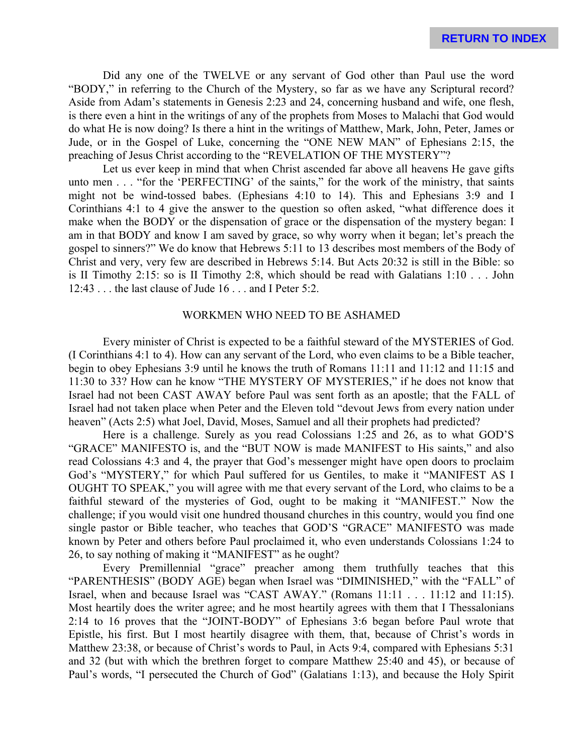Did any one of the TWELVE or any servant of God other than Paul use the word "BODY," in referring to the Church of the Mystery, so far as we have any Scriptural record? Aside from Adam's statements in Genesis 2:23 and 24, concerning husband and wife, one flesh, is there even a hint in the writings of any of the prophets from Moses to Malachi that God would do what He is now doing? Is there a hint in the writings of Matthew, Mark, John, Peter, James or Jude, or in the Gospel of Luke, concerning the "ONE NEW MAN" of Ephesians 2:15, the preaching of Jesus Christ according to the "REVELATION OF THE MYSTERY"?

Let us ever keep in mind that when Christ ascended far above all heavens He gave gifts unto men . . . "for the 'PERFECTING' of the saints," for the work of the ministry, that saints might not be wind-tossed babes. (Ephesians 4:10 to 14). This and Ephesians 3:9 and I Corinthians 4:1 to 4 give the answer to the question so often asked, "what difference does it make when the BODY or the dispensation of grace or the dispensation of the mystery began: I am in that BODY and know I am saved by grace, so why worry when it began; let's preach the gospel to sinners?" We do know that Hebrews 5:11 to 13 describes most members of the Body of Christ and very, very few are described in Hebrews 5:14. But Acts 20:32 is still in the Bible: so is II Timothy 2:15: so is II Timothy 2:8, which should be read with Galatians 1:10 . . . John 12:43 . . . the last clause of Jude 16 . . . and I Peter 5:2.

# WORKMEN WHO NEED TO BE ASHAMED

Every minister of Christ is expected to be a faithful steward of the MYSTERIES of God. (I Corinthians 4:1 to 4). How can any servant of the Lord, who even claims to be a Bible teacher, begin to obey Ephesians 3:9 until he knows the truth of Romans 11:11 and 11:12 and 11:15 and 11:30 to 33? How can he know "THE MYSTERY OF MYSTERIES," if he does not know that Israel had not been CAST AWAY before Paul was sent forth as an apostle; that the FALL of Israel had not taken place when Peter and the Eleven told "devout Jews from every nation under heaven" (Acts 2:5) what Joel, David, Moses, Samuel and all their prophets had predicted?

Here is a challenge. Surely as you read Colossians 1:25 and 26, as to what GOD'S "GRACE" MANIFESTO is, and the "BUT NOW is made MANIFEST to His saints," and also read Colossians 4:3 and 4, the prayer that God's messenger might have open doors to proclaim God's "MYSTERY," for which Paul suffered for us Gentiles, to make it "MANIFEST AS I OUGHT TO SPEAK," you will agree with me that every servant of the Lord, who claims to be a faithful steward of the mysteries of God, ought to be making it "MANIFEST." Now the challenge; if you would visit one hundred thousand churches in this country, would you find one single pastor or Bible teacher, who teaches that GOD'S "GRACE" MANIFESTO was made known by Peter and others before Paul proclaimed it, who even understands Colossians 1:24 to 26, to say nothing of making it "MANIFEST" as he ought?

Every Premillennial "grace" preacher among them truthfully teaches that this "PARENTHESIS" (BODY AGE) began when Israel was "DIMINISHED," with the "FALL" of Israel, when and because Israel was "CAST AWAY." (Romans 11:11 . . . 11:12 and 11:15). Most heartily does the writer agree; and he most heartily agrees with them that I Thessalonians 2:14 to 16 proves that the "JOINT-BODY" of Ephesians 3:6 began before Paul wrote that Epistle, his first. But I most heartily disagree with them, that, because of Christ's words in Matthew 23:38, or because of Christ's words to Paul, in Acts 9:4, compared with Ephesians 5:31 and 32 (but with which the brethren forget to compare Matthew 25:40 and 45), or because of Paul's words, "I persecuted the Church of God" (Galatians 1:13), and because the Holy Spirit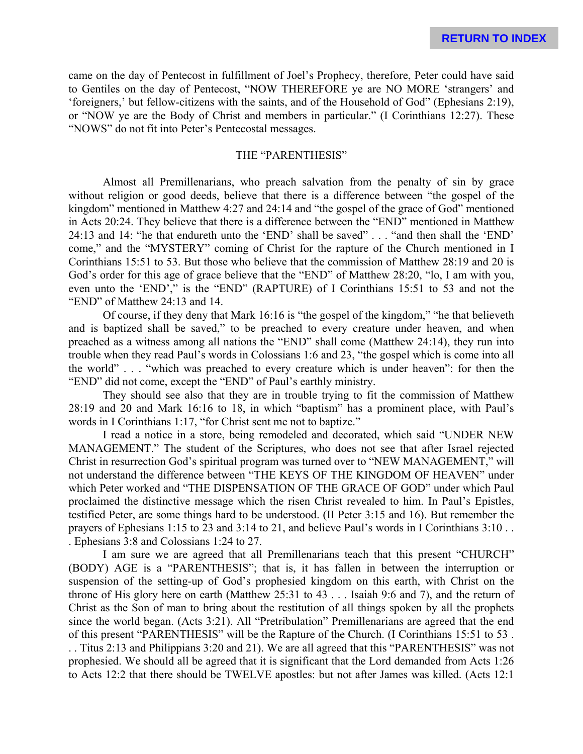came on the day of Pentecost in fulfillment of Joel's Prophecy, therefore, Peter could have said to Gentiles on the day of Pentecost, "NOW THEREFORE ye are NO MORE 'strangers' and 'foreigners,' but fellow-citizens with the saints, and of the Household of God" (Ephesians 2:19), or "NOW ye are the Body of Christ and members in particular." (I Corinthians 12:27). These "NOWS" do not fit into Peter's Pentecostal messages.

#### THE "PARENTHESIS"

Almost all Premillenarians, who preach salvation from the penalty of sin by grace without religion or good deeds, believe that there is a difference between "the gospel of the kingdom" mentioned in Matthew 4:27 and 24:14 and "the gospel of the grace of God" mentioned in Acts 20:24. They believe that there is a difference between the "END" mentioned in Matthew 24:13 and 14: "he that endureth unto the 'END' shall be saved" . . . "and then shall the 'END' come," and the "MYSTERY" coming of Christ for the rapture of the Church mentioned in I Corinthians 15:51 to 53. But those who believe that the commission of Matthew 28:19 and 20 is God's order for this age of grace believe that the "END" of Matthew 28:20, "lo, I am with you, even unto the 'END'," is the "END" (RAPTURE) of I Corinthians 15:51 to 53 and not the "END" of Matthew 24:13 and 14.

Of course, if they deny that Mark 16:16 is "the gospel of the kingdom," "he that believeth and is baptized shall be saved," to be preached to every creature under heaven, and when preached as a witness among all nations the "END" shall come (Matthew 24:14), they run into trouble when they read Paul's words in Colossians 1:6 and 23, "the gospel which is come into all the world" . . . "which was preached to every creature which is under heaven": for then the "END" did not come, except the "END" of Paul's earthly ministry.

They should see also that they are in trouble trying to fit the commission of Matthew 28:19 and 20 and Mark 16:16 to 18, in which "baptism" has a prominent place, with Paul's words in I Corinthians 1:17, "for Christ sent me not to baptize."

I read a notice in a store, being remodeled and decorated, which said "UNDER NEW MANAGEMENT." The student of the Scriptures, who does not see that after Israel rejected Christ in resurrection God's spiritual program was turned over to "NEW MANAGEMENT," will not understand the difference between "THE KEYS OF THE KINGDOM OF HEAVEN" under which Peter worked and "THE DISPENSATION OF THE GRACE OF GOD" under which Paul proclaimed the distinctive message which the risen Christ revealed to him. In Paul's Epistles, testified Peter, are some things hard to be understood. (II Peter 3:15 and 16). But remember the prayers of Ephesians 1:15 to 23 and 3:14 to 21, and believe Paul's words in I Corinthians 3:10 . . . Ephesians 3:8 and Colossians 1:24 to 27.

I am sure we are agreed that all Premillenarians teach that this present "CHURCH" (BODY) AGE is a "PARENTHESIS"; that is, it has fallen in between the interruption or suspension of the setting-up of God's prophesied kingdom on this earth, with Christ on the throne of His glory here on earth (Matthew 25:31 to 43 . . . Isaiah 9:6 and 7), and the return of Christ as the Son of man to bring about the restitution of all things spoken by all the prophets since the world began. (Acts 3:21). All "Pretribulation" Premillenarians are agreed that the end of this present "PARENTHESIS" will be the Rapture of the Church. (I Corinthians 15:51 to 53 . . . Titus 2:13 and Philippians 3:20 and 21). We are all agreed that this "PARENTHESIS" was not prophesied. We should all be agreed that it is significant that the Lord demanded from Acts 1:26 to Acts 12:2 that there should be TWELVE apostles: but not after James was killed. (Acts 12:1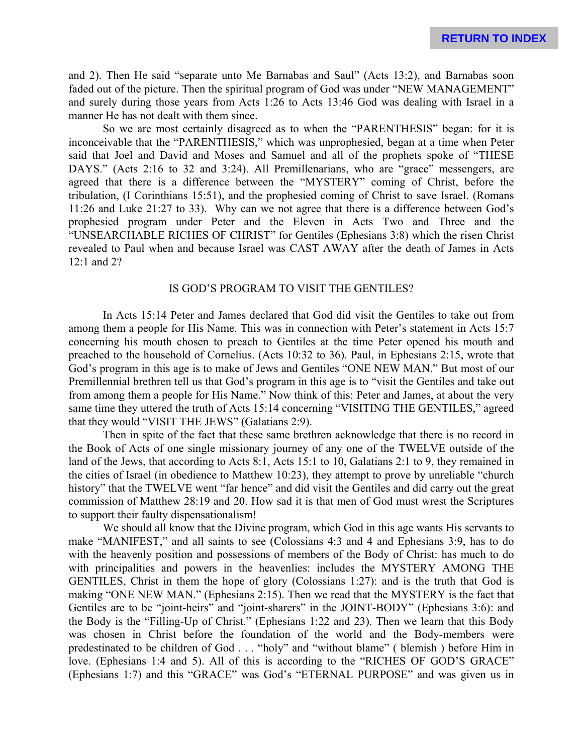and 2). Then He said "separate unto Me Barnabas and Saul" (Acts 13:2), and Barnabas soon faded out of the picture. Then the spiritual program of God was under "NEW MANAGEMENT" and surely during those years from Acts 1:26 to Acts 13:46 God was dealing with Israel in a manner He has not dealt with them since.

So we are most certainly disagreed as to when the "PARENTHESIS" began: for it is inconceivable that the "PARENTHESIS," which was unprophesied, began at a time when Peter said that Joel and David and Moses and Samuel and all of the prophets spoke of "THESE DAYS." (Acts 2:16 to 32 and 3:24). All Premillenarians, who are "grace" messengers, are agreed that there is a difference between the "MYSTERY" coming of Christ, before the tribulation, (I Corinthians 15:51), and the prophesied coming of Christ to save Israel. (Romans 11:26 and Luke 21:27 to 33). Why can we not agree that there is a difference between God's prophesied program under Peter and the Eleven in Acts Two and Three and the "UNSEARCHABLE RICHES OF CHRIST" for Gentiles (Ephesians 3:8) which the risen Christ revealed to Paul when and because Israel was CAST AWAY after the death of James in Acts 12:1 and 2?

# IS GOD'S PROGRAM TO VISIT THE GENTILES?

In Acts 15:14 Peter and James declared that God did visit the Gentiles to take out from among them a people for His Name. This was in connection with Peter's statement in Acts 15:7 concerning his mouth chosen to preach to Gentiles at the time Peter opened his mouth and preached to the household of Cornelius. (Acts 10:32 to 36). Paul, in Ephesians 2:15, wrote that God's program in this age is to make of Jews and Gentiles "ONE NEW MAN." But most of our Premillennial brethren tell us that God's program in this age is to "visit the Gentiles and take out from among them a people for His Name." Now think of this: Peter and James, at about the very same time they uttered the truth of Acts 15:14 concerning "VISITING THE GENTILES," agreed that they would "VISIT THE JEWS" (Galatians 2:9).

Then in spite of the fact that these same brethren acknowledge that there is no record in the Book of Acts of one single missionary journey of any one of the TWELVE outside of the land of the Jews, that according to Acts 8:1, Acts 15:1 to 10, Galatians 2:1 to 9, they remained in the cities of Israel (in obedience to Matthew 10:23), they attempt to prove by unreliable "church history" that the TWELVE went "far hence" and did visit the Gentiles and did carry out the great commission of Matthew 28:19 and 20. How sad it is that men of God must wrest the Scriptures to support their faulty dispensationalism!

We should all know that the Divine program, which God in this age wants His servants to make "MANIFEST," and all saints to see (Colossians 4:3 and 4 and Ephesians 3:9, has to do with the heavenly position and possessions of members of the Body of Christ: has much to do with principalities and powers in the heavenlies: includes the MYSTERY AMONG THE GENTILES, Christ in them the hope of glory (Colossians 1:27): and is the truth that God is making "ONE NEW MAN." (Ephesians 2:15). Then we read that the MYSTERY is the fact that Gentiles are to be "joint-heirs" and "joint-sharers" in the JOINT-BODY" (Ephesians 3:6): and the Body is the "Filling-Up of Christ." (Ephesians 1:22 and 23). Then we learn that this Body was chosen in Christ before the foundation of the world and the Body-members were predestinated to be children of God . . . "holy" and "without blame" ( blemish ) before Him in love. (Ephesians 1:4 and 5). All of this is according to the "RICHES OF GOD'S GRACE" (Ephesians 1:7) and this "GRACE" was God's "ETERNAL PURPOSE" and was given us in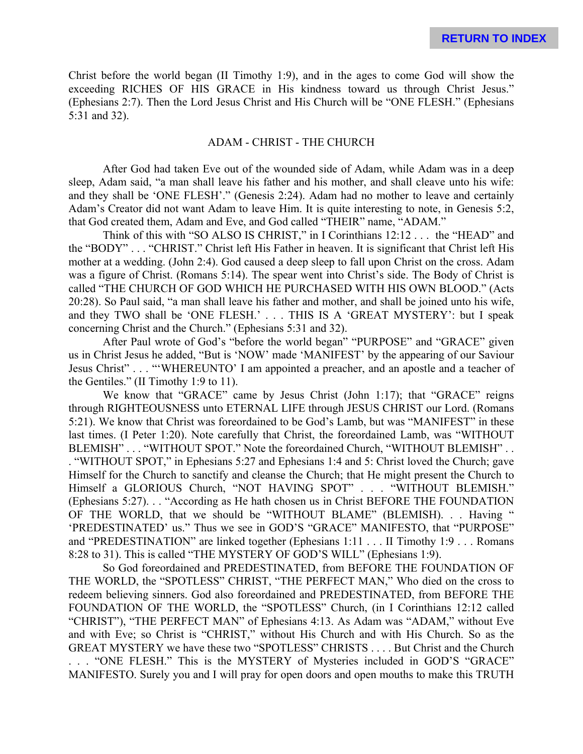Christ before the world began (II Timothy 1:9), and in the ages to come God will show the exceeding RICHES OF HIS GRACE in His kindness toward us through Christ Jesus." (Ephesians 2:7). Then the Lord Jesus Christ and His Church will be "ONE FLESH." (Ephesians 5:31 and 32).

# ADAM - CHRIST - THE CHURCH

After God had taken Eve out of the wounded side of Adam, while Adam was in a deep sleep, Adam said, "a man shall leave his father and his mother, and shall cleave unto his wife: and they shall be 'ONE FLESH'." (Genesis 2:24). Adam had no mother to leave and certainly Adam's Creator did not want Adam to leave Him. It is quite interesting to note, in Genesis 5:2, that God created them, Adam and Eve, and God called "THEIR" name, "ADAM."

Think of this with "SO ALSO IS CHRIST," in I Corinthians 12:12 . . . the "HEAD" and the "BODY" . . . "CHRIST." Christ left His Father in heaven. It is significant that Christ left His mother at a wedding. (John 2:4). God caused a deep sleep to fall upon Christ on the cross. Adam was a figure of Christ. (Romans 5:14). The spear went into Christ's side. The Body of Christ is called "THE CHURCH OF GOD WHICH HE PURCHASED WITH HIS OWN BLOOD." (Acts 20:28). So Paul said, "a man shall leave his father and mother, and shall be joined unto his wife, and they TWO shall be 'ONE FLESH.' . . . THIS IS A 'GREAT MYSTERY': but I speak concerning Christ and the Church." (Ephesians 5:31 and 32).

After Paul wrote of God's "before the world began" "PURPOSE" and "GRACE" given us in Christ Jesus he added, "But is 'NOW' made 'MANIFEST' by the appearing of our Saviour Jesus Christ" . . . "'WHEREUNTO' I am appointed a preacher, and an apostle and a teacher of the Gentiles." (II Timothy 1:9 to 11).

We know that "GRACE" came by Jesus Christ (John 1:17); that "GRACE" reigns through RIGHTEOUSNESS unto ETERNAL LIFE through JESUS CHRIST our Lord. (Romans 5:21). We know that Christ was foreordained to be God's Lamb, but was "MANIFEST" in these last times. (I Peter 1:20). Note carefully that Christ, the foreordained Lamb, was "WITHOUT BLEMISH" . . . "WITHOUT SPOT." Note the foreordained Church, "WITHOUT BLEMISH" . . . "WITHOUT SPOT," in Ephesians 5:27 and Ephesians 1:4 and 5: Christ loved the Church; gave Himself for the Church to sanctify and cleanse the Church; that He might present the Church to Himself a GLORIOUS Church, "NOT HAVING SPOT" . . . "WITHOUT BLEMISH." (Ephesians 5:27). . . "According as He hath chosen us in Christ BEFORE THE FOUNDATION OF THE WORLD, that we should be "WITHOUT BLAME" (BLEMISH). . . Having " 'PREDESTINATED' us." Thus we see in GOD'S "GRACE" MANIFESTO, that "PURPOSE" and "PREDESTINATION" are linked together (Ephesians 1:11 . . . II Timothy 1:9 . . . Romans 8:28 to 31). This is called "THE MYSTERY OF GOD'S WILL" (Ephesians 1:9).

So God foreordained and PREDESTINATED, from BEFORE THE FOUNDATION OF THE WORLD, the "SPOTLESS" CHRIST, "THE PERFECT MAN," Who died on the cross to redeem believing sinners. God also foreordained and PREDESTINATED, from BEFORE THE FOUNDATION OF THE WORLD, the "SPOTLESS" Church, (in I Corinthians 12:12 called "CHRIST"), "THE PERFECT MAN" of Ephesians 4:13. As Adam was "ADAM," without Eve and with Eve; so Christ is "CHRIST," without His Church and with His Church. So as the GREAT MYSTERY we have these two "SPOTLESS" CHRISTS . . . . But Christ and the Church . . . "ONE FLESH." This is the MYSTERY of Mysteries included in GOD'S "GRACE" MANIFESTO. Surely you and I will pray for open doors and open mouths to make this TRUTH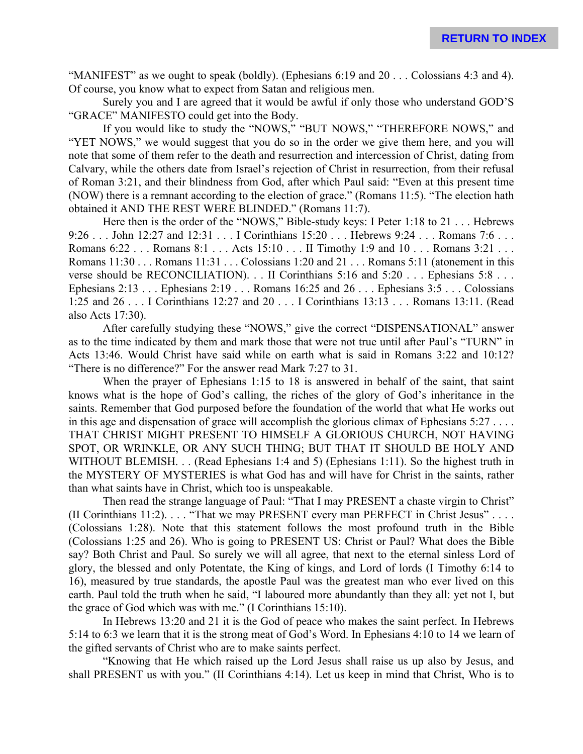"MANIFEST" as we ought to speak (boldly). (Ephesians 6:19 and 20 . . . Colossians 4:3 and 4). Of course, you know what to expect from Satan and religious men.

Surely you and I are agreed that it would be awful if only those who understand GOD'S "GRACE" MANIFESTO could get into the Body.

If you would like to study the "NOWS," "BUT NOWS," "THEREFORE NOWS," and "YET NOWS," we would suggest that you do so in the order we give them here, and you will note that some of them refer to the death and resurrection and intercession of Christ, dating from Calvary, while the others date from Israel's rejection of Christ in resurrection, from their refusal of Roman 3:21, and their blindness from God, after which Paul said: "Even at this present time (NOW) there is a remnant according to the election of grace." (Romans 11:5). "The election hath obtained it AND THE REST WERE BLINDED." (Romans 11:7).

Here then is the order of the "NOWS," Bible-study keys: I Peter 1:18 to 21 . . . Hebrews 9:26 . . . John 12:27 and 12:31 . . . I Corinthians 15:20 . . . Hebrews 9:24 . . . Romans 7:6 . . . Romans 6:22 . . . Romans 8:1 . . . Acts 15:10 . . . II Timothy 1:9 and 10 . . . Romans 3:21 . . . . Romans 11:30 . . . Romans 11:31 . . . Colossians 1:20 and 21 . . . Romans 5:11 (atonement in this verse should be RECONCILIATION). . . II Corinthians 5:16 and 5:20 . . . Ephesians 5:8 . . . Ephesians 2:13 . . . Ephesians 2:19 . . . Romans 16:25 and 26 . . . Ephesians 3:5 . . . Colossians 1:25 and 26 . . . I Corinthians 12:27 and 20 . . . I Corinthians 13:13 . . . Romans 13:11. (Read also Acts 17:30).

After carefully studying these "NOWS," give the correct "DISPENSATIONAL" answer as to the time indicated by them and mark those that were not true until after Paul's "TURN" in Acts 13:46. Would Christ have said while on earth what is said in Romans 3:22 and 10:12? "There is no difference?" For the answer read Mark 7:27 to 31.

When the prayer of Ephesians 1:15 to 18 is answered in behalf of the saint, that saint knows what is the hope of God's calling, the riches of the glory of God's inheritance in the saints. Remember that God purposed before the foundation of the world that what He works out in this age and dispensation of grace will accomplish the glorious climax of Ephesians  $5:27...$ THAT CHRIST MIGHT PRESENT TO HIMSELF A GLORIOUS CHURCH, NOT HAVING SPOT, OR WRINKLE, OR ANY SUCH THING; BUT THAT IT SHOULD BE HOLY AND WITHOUT BLEMISH. . . (Read Ephesians 1:4 and 5) (Ephesians 1:11). So the highest truth in the MYSTERY OF MYSTERIES is what God has and will have for Christ in the saints, rather than what saints have in Christ, which too is unspeakable.

Then read the strange language of Paul: "That I may PRESENT a chaste virgin to Christ" (II Corinthians 11:2). . . . "That we may PRESENT every man PERFECT in Christ Jesus" . . . . (Colossians 1:28). Note that this statement follows the most profound truth in the Bible (Colossians 1:25 and 26). Who is going to PRESENT US: Christ or Paul? What does the Bible say? Both Christ and Paul. So surely we will all agree, that next to the eternal sinless Lord of glory, the blessed and only Potentate, the King of kings, and Lord of lords (I Timothy 6:14 to 16), measured by true standards, the apostle Paul was the greatest man who ever lived on this earth. Paul told the truth when he said, "I laboured more abundantly than they all: yet not I, but the grace of God which was with me." (I Corinthians 15:10).

In Hebrews 13:20 and 21 it is the God of peace who makes the saint perfect. In Hebrews 5:14 to 6:3 we learn that it is the strong meat of God's Word. In Ephesians 4:10 to 14 we learn of the gifted servants of Christ who are to make saints perfect.

"Knowing that He which raised up the Lord Jesus shall raise us up also by Jesus, and shall PRESENT us with you." (II Corinthians 4:14). Let us keep in mind that Christ, Who is to